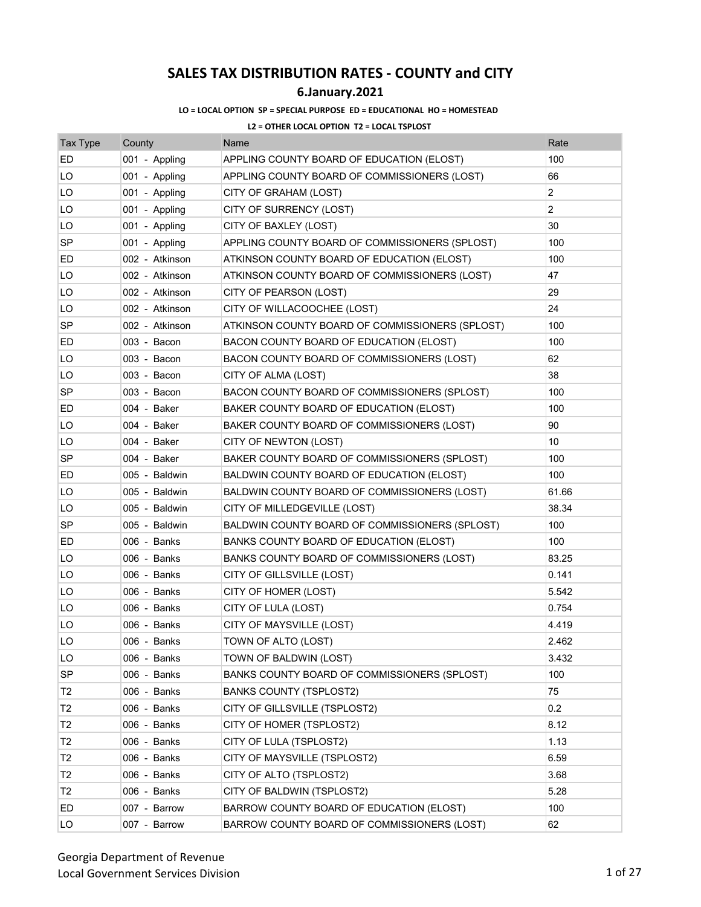## **6.January.2021**

### **LO = LOCAL OPTION SP = SPECIAL PURPOSE ED = EDUCATIONAL HO = HOMESTEAD**

| <b>Tax Type</b> | County         | Name                                            | Rate           |
|-----------------|----------------|-------------------------------------------------|----------------|
| ED              | 001 - Appling  | APPLING COUNTY BOARD OF EDUCATION (ELOST)       | 100            |
| LO              | 001 - Appling  | APPLING COUNTY BOARD OF COMMISSIONERS (LOST)    | 66             |
| LO              | 001 - Appling  | CITY OF GRAHAM (LOST)                           | $\overline{2}$ |
| LO              | 001 - Appling  | CITY OF SURRENCY (LOST)                         | $\overline{2}$ |
| LO              | 001 - Appling  | CITY OF BAXLEY (LOST)                           | 30             |
| SP              | 001 - Appling  | APPLING COUNTY BOARD OF COMMISSIONERS (SPLOST)  | 100            |
| ED              | 002 - Atkinson | ATKINSON COUNTY BOARD OF EDUCATION (ELOST)      | 100            |
| LO              | 002 - Atkinson | ATKINSON COUNTY BOARD OF COMMISSIONERS (LOST)   | 47             |
| LO              | 002 - Atkinson | CITY OF PEARSON (LOST)                          | 29             |
| LO              | 002 - Atkinson | CITY OF WILLACOOCHEE (LOST)                     | 24             |
| <b>SP</b>       | 002 - Atkinson | ATKINSON COUNTY BOARD OF COMMISSIONERS (SPLOST) | 100            |
| ED              | 003 - Bacon    | BACON COUNTY BOARD OF EDUCATION (ELOST)         | 100            |
| LO              | 003 - Bacon    | BACON COUNTY BOARD OF COMMISSIONERS (LOST)      | 62             |
| LO              | 003 - Bacon    | CITY OF ALMA (LOST)                             | 38             |
| <b>SP</b>       | 003 - Bacon    | BACON COUNTY BOARD OF COMMISSIONERS (SPLOST)    | 100            |
| ED              | 004 - Baker    | BAKER COUNTY BOARD OF EDUCATION (ELOST)         | 100            |
| LO              | 004 - Baker    | BAKER COUNTY BOARD OF COMMISSIONERS (LOST)      | 90             |
| LO              | 004 - Baker    | CITY OF NEWTON (LOST)                           | 10             |
| <b>SP</b>       | 004 - Baker    | BAKER COUNTY BOARD OF COMMISSIONERS (SPLOST)    | 100            |
| ED              | 005 - Baldwin  | BALDWIN COUNTY BOARD OF EDUCATION (ELOST)       | 100            |
| LO              | 005 - Baldwin  | BALDWIN COUNTY BOARD OF COMMISSIONERS (LOST)    | 61.66          |
| LO              | 005 - Baldwin  | CITY OF MILLEDGEVILLE (LOST)                    | 38.34          |
| SP              | 005 - Baldwin  | BALDWIN COUNTY BOARD OF COMMISSIONERS (SPLOST)  | 100            |
| ED              | 006 - Banks    | BANKS COUNTY BOARD OF EDUCATION (ELOST)         | 100            |
| LO              | 006 - Banks    | BANKS COUNTY BOARD OF COMMISSIONERS (LOST)      | 83.25          |
| LO              | 006 - Banks    | CITY OF GILLSVILLE (LOST)                       | 0.141          |
| LO              | 006 - Banks    | CITY OF HOMER (LOST)                            | 5.542          |
| LO              | 006 - Banks    | CITY OF LULA (LOST)                             | 0.754          |
| LO              | 006 - Banks    | CITY OF MAYSVILLE (LOST)                        | 4.419          |
| LO              | 006 - Banks    | TOWN OF ALTO (LOST)                             | 2.462          |
| LO              | 006 - Banks    | TOWN OF BALDWIN (LOST)                          | 3.432          |
| <b>SP</b>       | 006 - Banks    | BANKS COUNTY BOARD OF COMMISSIONERS (SPLOST)    | 100            |
| T <sub>2</sub>  | 006 - Banks    | <b>BANKS COUNTY (TSPLOST2)</b>                  | 75             |
| T <sub>2</sub>  | 006 - Banks    | CITY OF GILLSVILLE (TSPLOST2)                   | 0.2            |
| T2              | 006 - Banks    | CITY OF HOMER (TSPLOST2)                        | 8.12           |
| T2              | 006 - Banks    | CITY OF LULA (TSPLOST2)                         | 1.13           |
| T <sub>2</sub>  | 006 - Banks    | CITY OF MAYSVILLE (TSPLOST2)                    | 6.59           |
| T <sub>2</sub>  | 006 - Banks    | CITY OF ALTO (TSPLOST2)                         | 3.68           |
| T <sub>2</sub>  | 006 - Banks    | CITY OF BALDWIN (TSPLOST2)                      | 5.28           |
| ED              | 007 - Barrow   | BARROW COUNTY BOARD OF EDUCATION (ELOST)        | 100            |
| LO              | 007 - Barrow   | BARROW COUNTY BOARD OF COMMISSIONERS (LOST)     | 62             |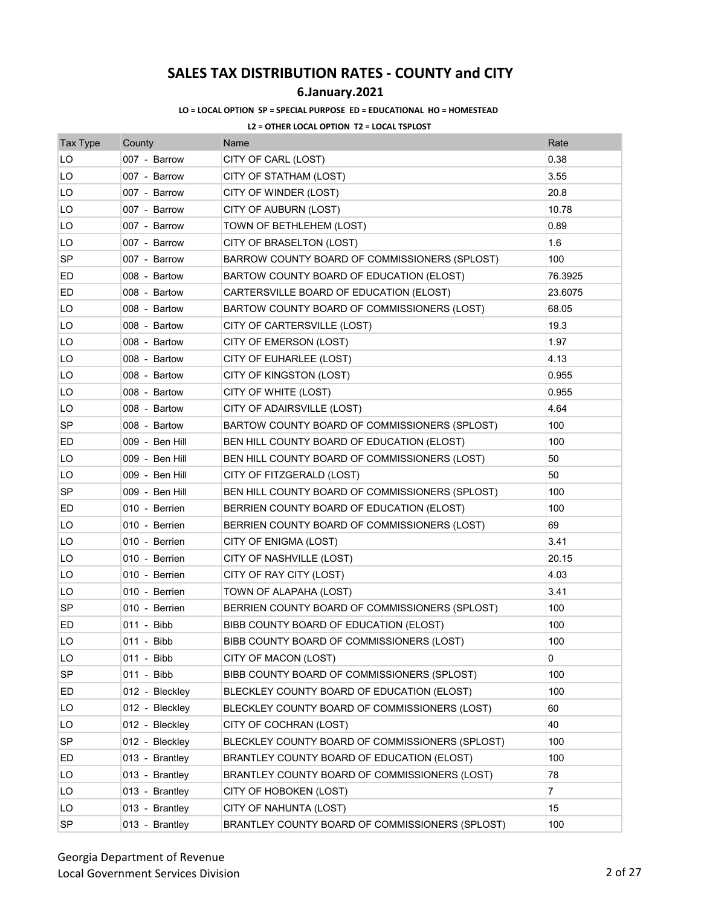## **6.January.2021**

### **LO = LOCAL OPTION SP = SPECIAL PURPOSE ED = EDUCATIONAL HO = HOMESTEAD**

| <b>Tax Type</b> | County         | Name                                            | Rate           |
|-----------------|----------------|-------------------------------------------------|----------------|
| LO              | 007 - Barrow   | CITY OF CARL (LOST)                             | 0.38           |
| LO              | 007 - Barrow   | CITY OF STATHAM (LOST)                          | 3.55           |
| LO              | 007 - Barrow   | CITY OF WINDER (LOST)                           | 20.8           |
| LO              | 007 - Barrow   | CITY OF AUBURN (LOST)                           | 10.78          |
| LO              | 007 - Barrow   | TOWN OF BETHLEHEM (LOST)                        | 0.89           |
| LO              | 007 - Barrow   | CITY OF BRASELTON (LOST)                        | 1.6            |
| <b>SP</b>       | 007 - Barrow   | BARROW COUNTY BOARD OF COMMISSIONERS (SPLOST)   | 100            |
| ED.             | 008 - Bartow   | BARTOW COUNTY BOARD OF EDUCATION (ELOST)        | 76.3925        |
| ED              | 008 - Bartow   | CARTERSVILLE BOARD OF EDUCATION (ELOST)         | 23.6075        |
| LO              | 008 - Bartow   | BARTOW COUNTY BOARD OF COMMISSIONERS (LOST)     | 68.05          |
| LO              | 008 - Bartow   | CITY OF CARTERSVILLE (LOST)                     | 19.3           |
| LO              | 008 - Bartow   | CITY OF EMERSON (LOST)                          | 1.97           |
| LO              | 008 - Bartow   | CITY OF EUHARLEE (LOST)                         | 4.13           |
| LO              | 008 - Bartow   | CITY OF KINGSTON (LOST)                         | 0.955          |
| LO              | 008 - Bartow   | CITY OF WHITE (LOST)                            | 0.955          |
| LO              | 008 - Bartow   | CITY OF ADAIRSVILLE (LOST)                      | 4.64           |
| SP              | 008 - Bartow   | BARTOW COUNTY BOARD OF COMMISSIONERS (SPLOST)   | 100            |
| ED              | 009 - Ben Hill | BEN HILL COUNTY BOARD OF EDUCATION (ELOST)      | 100            |
| LO              | 009 - Ben Hill | BEN HILL COUNTY BOARD OF COMMISSIONERS (LOST)   | 50             |
| LO              | 009 - Ben Hill | CITY OF FITZGERALD (LOST)                       | 50             |
| SP              | 009 - Ben Hill | BEN HILL COUNTY BOARD OF COMMISSIONERS (SPLOST) | 100            |
| ED              | 010 - Berrien  | BERRIEN COUNTY BOARD OF EDUCATION (ELOST)       | 100            |
| LO              | 010 - Berrien  | BERRIEN COUNTY BOARD OF COMMISSIONERS (LOST)    | 69             |
| LO              | 010 - Berrien  | CITY OF ENIGMA (LOST)                           | 3.41           |
| LO              | 010 - Berrien  | CITY OF NASHVILLE (LOST)                        | 20.15          |
| LO              | 010 - Berrien  | CITY OF RAY CITY (LOST)                         | 4.03           |
| LO              | 010 - Berrien  | TOWN OF ALAPAHA (LOST)                          | 3.41           |
| SP              | 010 - Berrien  | BERRIEN COUNTY BOARD OF COMMISSIONERS (SPLOST)  | 100            |
| ED              | 011 - Bibb     | BIBB COUNTY BOARD OF EDUCATION (ELOST)          | 100            |
| LO              | 011 - Bibb     | BIBB COUNTY BOARD OF COMMISSIONERS (LOST)       | 100            |
| LO              | 011 - Bibb     | CITY OF MACON (LOST)                            | 0              |
| <b>SP</b>       | 011 - Bibb     | BIBB COUNTY BOARD OF COMMISSIONERS (SPLOST)     | 100            |
| ED              | 012 - Bleckley | BLECKLEY COUNTY BOARD OF EDUCATION (ELOST)      | 100            |
| LO              | 012 - Bleckley | BLECKLEY COUNTY BOARD OF COMMISSIONERS (LOST)   | 60             |
| LO              | 012 - Bleckley | CITY OF COCHRAN (LOST)                          | 40             |
| SP              | 012 - Bleckley | BLECKLEY COUNTY BOARD OF COMMISSIONERS (SPLOST) | 100            |
| ED              | 013 - Brantley | BRANTLEY COUNTY BOARD OF EDUCATION (ELOST)      | 100            |
| LO              | 013 - Brantley | BRANTLEY COUNTY BOARD OF COMMISSIONERS (LOST)   | 78             |
| LO              | 013 - Brantley | CITY OF HOBOKEN (LOST)                          | $\overline{7}$ |
| LO              | 013 - Brantley | CITY OF NAHUNTA (LOST)                          | 15             |
| SP              | 013 - Brantley | BRANTLEY COUNTY BOARD OF COMMISSIONERS (SPLOST) | 100            |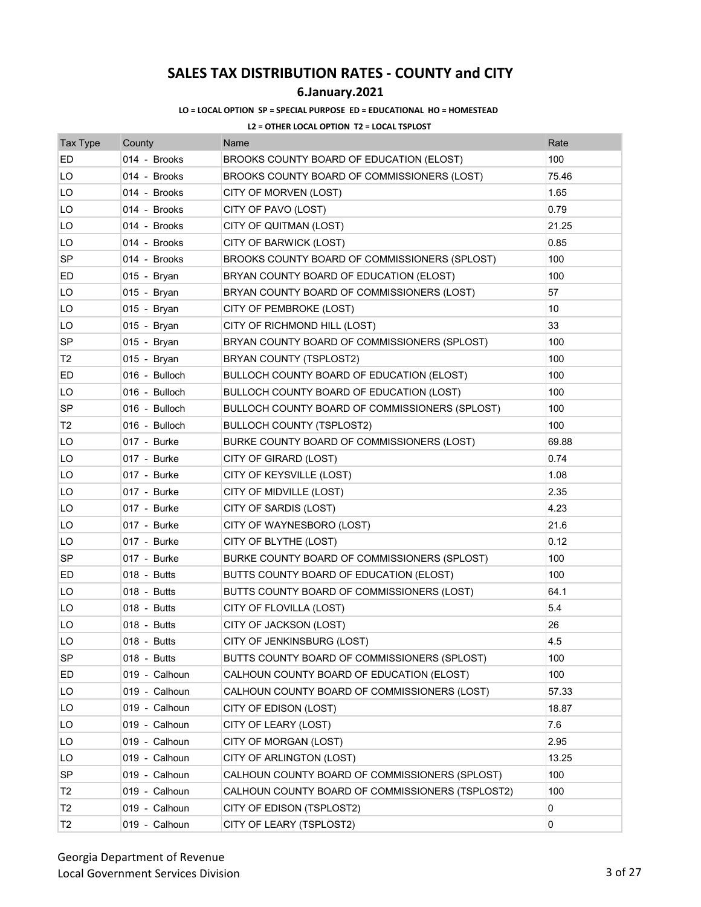## **6.January.2021**

### **LO = LOCAL OPTION SP = SPECIAL PURPOSE ED = EDUCATIONAL HO = HOMESTEAD**

| <b>Tax Type</b> | County        | Name                                             | Rate  |
|-----------------|---------------|--------------------------------------------------|-------|
| ED              | 014 - Brooks  | BROOKS COUNTY BOARD OF EDUCATION (ELOST)         | 100   |
| LO              | 014 - Brooks  | BROOKS COUNTY BOARD OF COMMISSIONERS (LOST)      | 75.46 |
| LO              | 014 - Brooks  | CITY OF MORVEN (LOST)                            | 1.65  |
| LO              | 014 - Brooks  | CITY OF PAVO (LOST)                              | 0.79  |
| LO              | 014 - Brooks  | CITY OF QUITMAN (LOST)                           | 21.25 |
| LO              | 014 - Brooks  | CITY OF BARWICK (LOST)                           | 0.85  |
| <b>SP</b>       | 014 - Brooks  | BROOKS COUNTY BOARD OF COMMISSIONERS (SPLOST)    | 100   |
| ED              | 015 - Bryan   | BRYAN COUNTY BOARD OF EDUCATION (ELOST)          | 100   |
| LO              | 015 - Bryan   | BRYAN COUNTY BOARD OF COMMISSIONERS (LOST)       | 57    |
| LO              | 015 - Bryan   | CITY OF PEMBROKE (LOST)                          | 10    |
| LO              | 015 - Bryan   | CITY OF RICHMOND HILL (LOST)                     | 33    |
| SP              | 015 - Bryan   | BRYAN COUNTY BOARD OF COMMISSIONERS (SPLOST)     | 100   |
| T <sub>2</sub>  | 015 - Bryan   | BRYAN COUNTY (TSPLOST2)                          | 100   |
| ED              | 016 - Bulloch | BULLOCH COUNTY BOARD OF EDUCATION (ELOST)        | 100   |
| LO              | 016 - Bulloch | BULLOCH COUNTY BOARD OF EDUCATION (LOST)         | 100   |
| SP              | 016 - Bulloch | BULLOCH COUNTY BOARD OF COMMISSIONERS (SPLOST)   | 100   |
| T <sub>2</sub>  | 016 - Bulloch | <b>BULLOCH COUNTY (TSPLOST2)</b>                 | 100   |
| LO              | 017 - Burke   | BURKE COUNTY BOARD OF COMMISSIONERS (LOST)       | 69.88 |
| LO              | 017 - Burke   | CITY OF GIRARD (LOST)                            | 0.74  |
| LO              | 017 - Burke   | CITY OF KEYSVILLE (LOST)                         | 1.08  |
| LO              | 017 - Burke   | CITY OF MIDVILLE (LOST)                          | 2.35  |
| LO              | 017 - Burke   | CITY OF SARDIS (LOST)                            | 4.23  |
| LO              | 017 - Burke   | CITY OF WAYNESBORO (LOST)                        | 21.6  |
| LO              | 017 - Burke   | CITY OF BLYTHE (LOST)                            | 0.12  |
| SP              | 017 - Burke   | BURKE COUNTY BOARD OF COMMISSIONERS (SPLOST)     | 100   |
| ED              | 018 - Butts   | BUTTS COUNTY BOARD OF EDUCATION (ELOST)          | 100   |
| LO              | 018 - Butts   | BUTTS COUNTY BOARD OF COMMISSIONERS (LOST)       | 64.1  |
| LO              | 018 - Butts   | CITY OF FLOVILLA (LOST)                          | 5.4   |
| LO              | 018 - Butts   | CITY OF JACKSON (LOST)                           | 26    |
| LO              | 018 - Butts   | CITY OF JENKINSBURG (LOST)                       | 4.5   |
| SP              | 018 - Butts   | BUTTS COUNTY BOARD OF COMMISSIONERS (SPLOST)     | 100   |
| ED              | 019 - Calhoun | CALHOUN COUNTY BOARD OF EDUCATION (ELOST)        | 100   |
| LO              | 019 - Calhoun | CALHOUN COUNTY BOARD OF COMMISSIONERS (LOST)     | 57.33 |
| LO              | 019 - Calhoun | CITY OF EDISON (LOST)                            | 18.87 |
| LO              | 019 - Calhoun | CITY OF LEARY (LOST)                             | 7.6   |
| LO              | 019 - Calhoun | CITY OF MORGAN (LOST)                            | 2.95  |
| LO              | 019 - Calhoun | CITY OF ARLINGTON (LOST)                         | 13.25 |
| <b>SP</b>       | 019 - Calhoun | CALHOUN COUNTY BOARD OF COMMISSIONERS (SPLOST)   | 100   |
| T <sub>2</sub>  | 019 - Calhoun | CALHOUN COUNTY BOARD OF COMMISSIONERS (TSPLOST2) | 100   |
| T <sub>2</sub>  | 019 - Calhoun | CITY OF EDISON (TSPLOST2)                        | 0     |
| T <sub>2</sub>  | 019 - Calhoun | CITY OF LEARY (TSPLOST2)                         | 0     |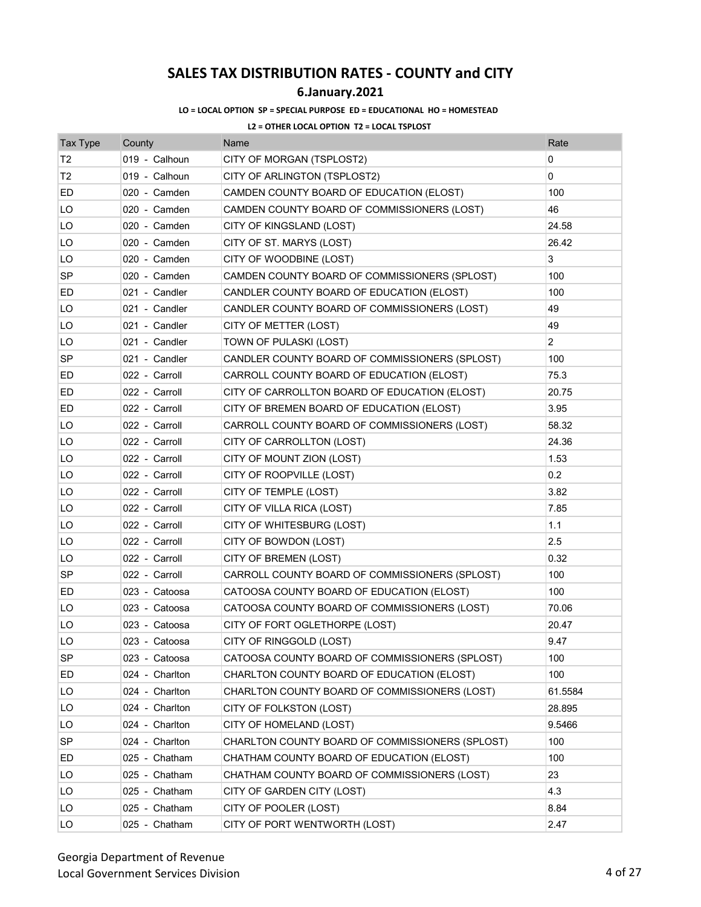## **6.January.2021**

### **LO = LOCAL OPTION SP = SPECIAL PURPOSE ED = EDUCATIONAL HO = HOMESTEAD**

| <b>Tax Type</b> | County         | Name                                            | Rate           |
|-----------------|----------------|-------------------------------------------------|----------------|
| Т2              | 019 - Calhoun  | CITY OF MORGAN (TSPLOST2)                       | 0              |
| Т2              | 019 - Calhoun  | CITY OF ARLINGTON (TSPLOST2)                    | 0              |
| ED              | 020 - Camden   | CAMDEN COUNTY BOARD OF EDUCATION (ELOST)        | 100            |
| LO              | 020 - Camden   | CAMDEN COUNTY BOARD OF COMMISSIONERS (LOST)     | 46             |
| LO              | 020 - Camden   | CITY OF KINGSLAND (LOST)                        | 24.58          |
| LO              | 020 - Camden   | CITY OF ST. MARYS (LOST)                        | 26.42          |
| LO              | 020 - Camden   | CITY OF WOODBINE (LOST)                         | 3              |
| SP              | 020 - Camden   | CAMDEN COUNTY BOARD OF COMMISSIONERS (SPLOST)   | 100            |
| ED              | 021 - Candler  | CANDLER COUNTY BOARD OF EDUCATION (ELOST)       | 100            |
| LO              | 021 - Candler  | CANDLER COUNTY BOARD OF COMMISSIONERS (LOST)    | 49             |
| LO              | 021 - Candler  | CITY OF METTER (LOST)                           | 49             |
| LO              | 021 - Candler  | TOWN OF PULASKI (LOST)                          | $\overline{2}$ |
| <b>SP</b>       | 021 - Candler  | CANDLER COUNTY BOARD OF COMMISSIONERS (SPLOST)  | 100            |
| ED              | 022 - Carroll  | CARROLL COUNTY BOARD OF EDUCATION (ELOST)       | 75.3           |
| ED              | 022 - Carroll  | CITY OF CARROLLTON BOARD OF EDUCATION (ELOST)   | 20.75          |
| ED              | 022 - Carroll  | CITY OF BREMEN BOARD OF EDUCATION (ELOST)       | 3.95           |
| LO              | 022 - Carroll  | CARROLL COUNTY BOARD OF COMMISSIONERS (LOST)    | 58.32          |
| LO              | 022 - Carroll  | CITY OF CARROLLTON (LOST)                       | 24.36          |
| LO              | 022 - Carroll  | CITY OF MOUNT ZION (LOST)                       | 1.53           |
| LO              | 022 - Carroll  | CITY OF ROOPVILLE (LOST)                        | 0.2            |
| LO              | 022 - Carroll  | CITY OF TEMPLE (LOST)                           | 3.82           |
| LO              | 022 - Carroll  | CITY OF VILLA RICA (LOST)                       | 7.85           |
| LO              | 022 - Carroll  | CITY OF WHITESBURG (LOST)                       | 1.1            |
| LO              | 022 - Carroll  | CITY OF BOWDON (LOST)                           | 2.5            |
| LO              | 022 - Carroll  | CITY OF BREMEN (LOST)                           | 0.32           |
| <b>SP</b>       | 022 - Carroll  | CARROLL COUNTY BOARD OF COMMISSIONERS (SPLOST)  | 100            |
| ED              | 023 - Catoosa  | CATOOSA COUNTY BOARD OF EDUCATION (ELOST)       | 100            |
| LO              | 023 - Catoosa  | CATOOSA COUNTY BOARD OF COMMISSIONERS (LOST)    | 70.06          |
| LO              | 023 - Catoosa  | CITY OF FORT OGLETHORPE (LOST)                  | 20.47          |
| LO              | 023 - Catoosa  | CITY OF RINGGOLD (LOST)                         | 9.47           |
| <b>SP</b>       | 023 - Catoosa  | CATOOSA COUNTY BOARD OF COMMISSIONERS (SPLOST)  | 100            |
| ED              | 024 - Charlton | CHARLTON COUNTY BOARD OF EDUCATION (ELOST)      | 100            |
| LO              | 024 - Charlton | CHARLTON COUNTY BOARD OF COMMISSIONERS (LOST)   | 61.5584        |
| LO              | 024 - Charlton | CITY OF FOLKSTON (LOST)                         | 28.895         |
| LO              | 024 - Charlton | CITY OF HOMELAND (LOST)                         | 9.5466         |
| SP              | 024 - Charlton | CHARLTON COUNTY BOARD OF COMMISSIONERS (SPLOST) | 100            |
| ED              | 025 - Chatham  | CHATHAM COUNTY BOARD OF EDUCATION (ELOST)       | 100            |
| LO              | 025 - Chatham  | CHATHAM COUNTY BOARD OF COMMISSIONERS (LOST)    | 23             |
| LO              | 025 - Chatham  | CITY OF GARDEN CITY (LOST)                      | 4.3            |
| LO              | 025 - Chatham  | CITY OF POOLER (LOST)                           | 8.84           |
| LO              | 025 - Chatham  | CITY OF PORT WENTWORTH (LOST)                   | 2.47           |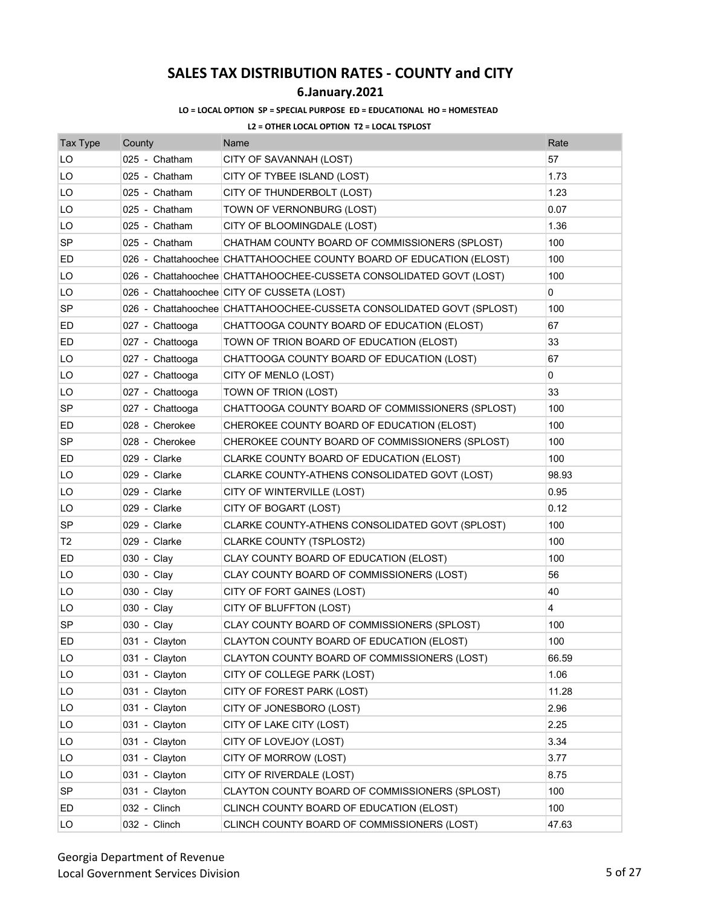### **6.January.2021**

### **LO = LOCAL OPTION SP = SPECIAL PURPOSE ED = EDUCATIONAL HO = HOMESTEAD**

| <b>Tax Type</b> | County          | Name                                                                 | Rate           |
|-----------------|-----------------|----------------------------------------------------------------------|----------------|
| LO              | 025 - Chatham   | CITY OF SAVANNAH (LOST)                                              | 57             |
| LO              | 025 - Chatham   | CITY OF TYBEE ISLAND (LOST)                                          | 1.73           |
| LO              | 025 - Chatham   | CITY OF THUNDERBOLT (LOST)                                           | 1.23           |
| LO              | 025 - Chatham   | TOWN OF VERNONBURG (LOST)                                            | 0.07           |
| LO              | 025 - Chatham   | CITY OF BLOOMINGDALE (LOST)                                          | 1.36           |
| <b>SP</b>       | 025 - Chatham   | CHATHAM COUNTY BOARD OF COMMISSIONERS (SPLOST)                       | 100            |
| ED              |                 | 026 - Chattahoochee CHATTAHOOCHEE COUNTY BOARD OF EDUCATION (ELOST)  | 100            |
| LO              |                 | 026 - Chattahoochee CHATTAHOOCHEE-CUSSETA CONSOLIDATED GOVT (LOST)   | 100            |
| LO              |                 | 026 - Chattahoochee CITY OF CUSSETA (LOST)                           | 0              |
| SP              |                 | 026 - Chattahoochee CHATTAHOOCHEE-CUSSETA CONSOLIDATED GOVT (SPLOST) | 100            |
| ED              | 027 - Chattooga | CHATTOOGA COUNTY BOARD OF EDUCATION (ELOST)                          | 67             |
| ED              | 027 - Chattooga | TOWN OF TRION BOARD OF EDUCATION (ELOST)                             | 33             |
| LO              | 027 - Chattooga | CHATTOOGA COUNTY BOARD OF EDUCATION (LOST)                           | 67             |
| LO              | 027 - Chattooga | CITY OF MENLO (LOST)                                                 | 0              |
| LO              | 027 - Chattooga | TOWN OF TRION (LOST)                                                 | 33             |
| SP              | 027 - Chattooga | CHATTOOGA COUNTY BOARD OF COMMISSIONERS (SPLOST)                     | 100            |
| ED              | 028 - Cherokee  | CHEROKEE COUNTY BOARD OF EDUCATION (ELOST)                           | 100            |
| SP              | 028 - Cherokee  | CHEROKEE COUNTY BOARD OF COMMISSIONERS (SPLOST)                      | 100            |
| ED              | 029 - Clarke    | CLARKE COUNTY BOARD OF EDUCATION (ELOST)                             | 100            |
| LO              | 029 - Clarke    | CLARKE COUNTY-ATHENS CONSOLIDATED GOVT (LOST)                        | 98.93          |
| LO              | 029 - Clarke    | CITY OF WINTERVILLE (LOST)                                           | 0.95           |
| LO              | 029 - Clarke    | CITY OF BOGART (LOST)                                                | 0.12           |
| <b>SP</b>       | 029 - Clarke    | CLARKE COUNTY-ATHENS CONSOLIDATED GOVT (SPLOST)                      | 100            |
| T2              | 029 - Clarke    | CLARKE COUNTY (TSPLOST2)                                             | 100            |
| ED              | 030 - Clay      | CLAY COUNTY BOARD OF EDUCATION (ELOST)                               | 100            |
| LO              | 030 - Clay      | CLAY COUNTY BOARD OF COMMISSIONERS (LOST)                            | 56             |
| LO              | 030 - Clay      | CITY OF FORT GAINES (LOST)                                           | 40             |
| LO              | 030 - Clay      | CITY OF BLUFFTON (LOST)                                              | $\overline{4}$ |
| <b>SP</b>       | 030 - Clay      | CLAY COUNTY BOARD OF COMMISSIONERS (SPLOST)                          | 100            |
| ED              | 031 - Clayton   | CLAYTON COUNTY BOARD OF EDUCATION (ELOST)                            | 100            |
| LO              | 031 - Clayton   | CLAYTON COUNTY BOARD OF COMMISSIONERS (LOST)                         | 66.59          |
| LO              | 031 - Clayton   | CITY OF COLLEGE PARK (LOST)                                          | 1.06           |
| LO              | 031 - Clayton   | CITY OF FOREST PARK (LOST)                                           | 11.28          |
| LO              | 031 - Clayton   | CITY OF JONESBORO (LOST)                                             | 2.96           |
| LO              | 031 - Clayton   | CITY OF LAKE CITY (LOST)                                             | 2.25           |
| LO              | 031 - Clayton   | CITY OF LOVEJOY (LOST)                                               | 3.34           |
| LO              | 031 - Clayton   | CITY OF MORROW (LOST)                                                | 3.77           |
| LO.             | 031 - Clayton   | CITY OF RIVERDALE (LOST)                                             | 8.75           |
| <b>SP</b>       | 031 - Clayton   | CLAYTON COUNTY BOARD OF COMMISSIONERS (SPLOST)                       | 100            |
| ED              | 032 - Clinch    | CLINCH COUNTY BOARD OF EDUCATION (ELOST)                             | 100            |
| LO              | 032 - Clinch    | CLINCH COUNTY BOARD OF COMMISSIONERS (LOST)                          | 47.63          |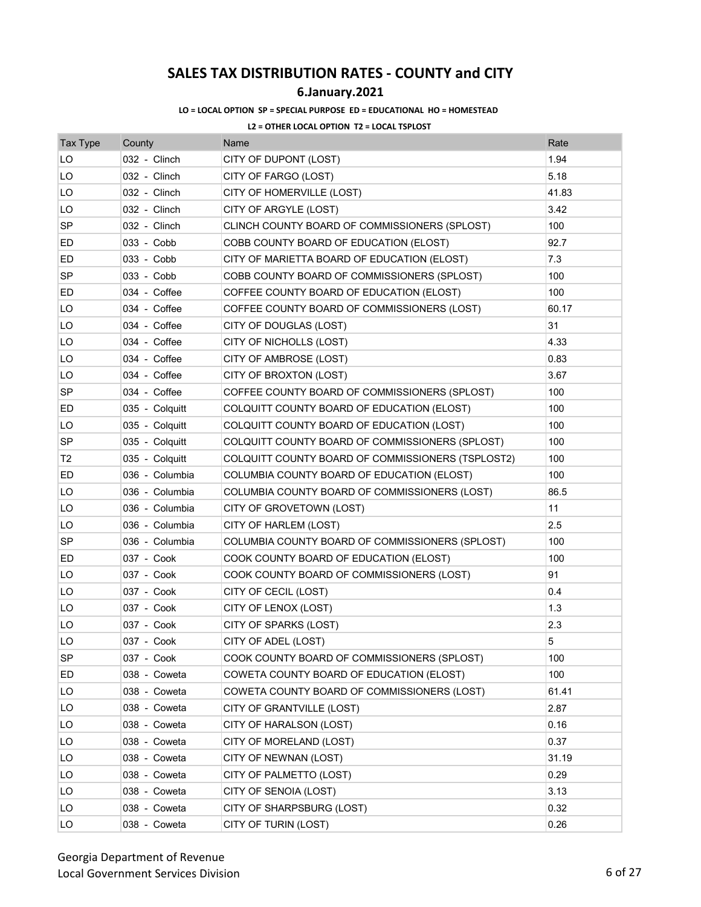## **6.January.2021**

### **LO = LOCAL OPTION SP = SPECIAL PURPOSE ED = EDUCATIONAL HO = HOMESTEAD**

| <b>Tax Type</b> | County         | Name                                              | Rate  |
|-----------------|----------------|---------------------------------------------------|-------|
| LO              | 032 - Clinch   | CITY OF DUPONT (LOST)                             | 1.94  |
| LO              | 032 - Clinch   | CITY OF FARGO (LOST)                              | 5.18  |
| LO              | 032 - Clinch   | CITY OF HOMERVILLE (LOST)                         | 41.83 |
| LO              | 032 - Clinch   | CITY OF ARGYLE (LOST)                             | 3.42  |
| <b>SP</b>       | 032 - Clinch   | CLINCH COUNTY BOARD OF COMMISSIONERS (SPLOST)     | 100   |
| ED              | 033 - Cobb     | COBB COUNTY BOARD OF EDUCATION (ELOST)            | 92.7  |
| ED              | 033 - Cobb     | CITY OF MARIETTA BOARD OF EDUCATION (ELOST)       | 7.3   |
| SP              | 033 - Cobb     | COBB COUNTY BOARD OF COMMISSIONERS (SPLOST)       | 100   |
| ED              | 034 - Coffee   | COFFEE COUNTY BOARD OF EDUCATION (ELOST)          | 100   |
| LO              | 034 - Coffee   | COFFEE COUNTY BOARD OF COMMISSIONERS (LOST)       | 60.17 |
| LO              | 034 - Coffee   | CITY OF DOUGLAS (LOST)                            | 31    |
| LO              | 034 - Coffee   | CITY OF NICHOLLS (LOST)                           | 4.33  |
| LO              | 034 - Coffee   | CITY OF AMBROSE (LOST)                            | 0.83  |
| LO              | 034 - Coffee   | CITY OF BROXTON (LOST)                            | 3.67  |
| SP              | 034 - Coffee   | COFFEE COUNTY BOARD OF COMMISSIONERS (SPLOST)     | 100   |
| ED              | 035 - Colquitt | COLQUITT COUNTY BOARD OF EDUCATION (ELOST)        | 100   |
| LO              | 035 - Colquitt | COLQUITT COUNTY BOARD OF EDUCATION (LOST)         | 100   |
| SP              | 035 - Colquitt | COLQUITT COUNTY BOARD OF COMMISSIONERS (SPLOST)   | 100   |
| T <sub>2</sub>  | 035 - Colquitt | COLQUITT COUNTY BOARD OF COMMISSIONERS (TSPLOST2) | 100   |
| ED              | 036 - Columbia | COLUMBIA COUNTY BOARD OF EDUCATION (ELOST)        | 100   |
| LO              | 036 - Columbia | COLUMBIA COUNTY BOARD OF COMMISSIONERS (LOST)     | 86.5  |
| LO              | 036 - Columbia | CITY OF GROVETOWN (LOST)                          | 11    |
| LO              | 036 - Columbia | CITY OF HARLEM (LOST)                             | 2.5   |
| <b>SP</b>       | 036 - Columbia | COLUMBIA COUNTY BOARD OF COMMISSIONERS (SPLOST)   | 100   |
| ED              | 037 - Cook     | COOK COUNTY BOARD OF EDUCATION (ELOST)            | 100   |
| LO              | 037 - Cook     | COOK COUNTY BOARD OF COMMISSIONERS (LOST)         | 91    |
| LO              | 037 - Cook     | CITY OF CECIL (LOST)                              | 0.4   |
| LO              | 037 - Cook     | CITY OF LENOX (LOST)                              | 1.3   |
| LO              | 037 - Cook     | CITY OF SPARKS (LOST)                             | 2.3   |
| LO              | 037 - Cook     | CITY OF ADEL (LOST)                               | 5     |
| <b>SP</b>       | 037 - Cook     | COOK COUNTY BOARD OF COMMISSIONERS (SPLOST)       | 100   |
| ED              | 038 - Coweta   | COWETA COUNTY BOARD OF EDUCATION (ELOST)          | 100   |
| LO              | 038 - Coweta   | COWETA COUNTY BOARD OF COMMISSIONERS (LOST)       | 61.41 |
| LO              | 038 - Coweta   | CITY OF GRANTVILLE (LOST)                         | 2.87  |
| LO              | 038 - Coweta   | CITY OF HARALSON (LOST)                           | 0.16  |
| LO              | 038 - Coweta   | CITY OF MORELAND (LOST)                           | 0.37  |
| LO              | 038 - Coweta   | CITY OF NEWNAN (LOST)                             | 31.19 |
| LO              | 038 - Coweta   | CITY OF PALMETTO (LOST)                           | 0.29  |
| LO              | 038 - Coweta   | CITY OF SENOIA (LOST)                             | 3.13  |
| LO              | 038 - Coweta   | CITY OF SHARPSBURG (LOST)                         | 0.32  |
| LO              | 038 - Coweta   | CITY OF TURIN (LOST)                              | 0.26  |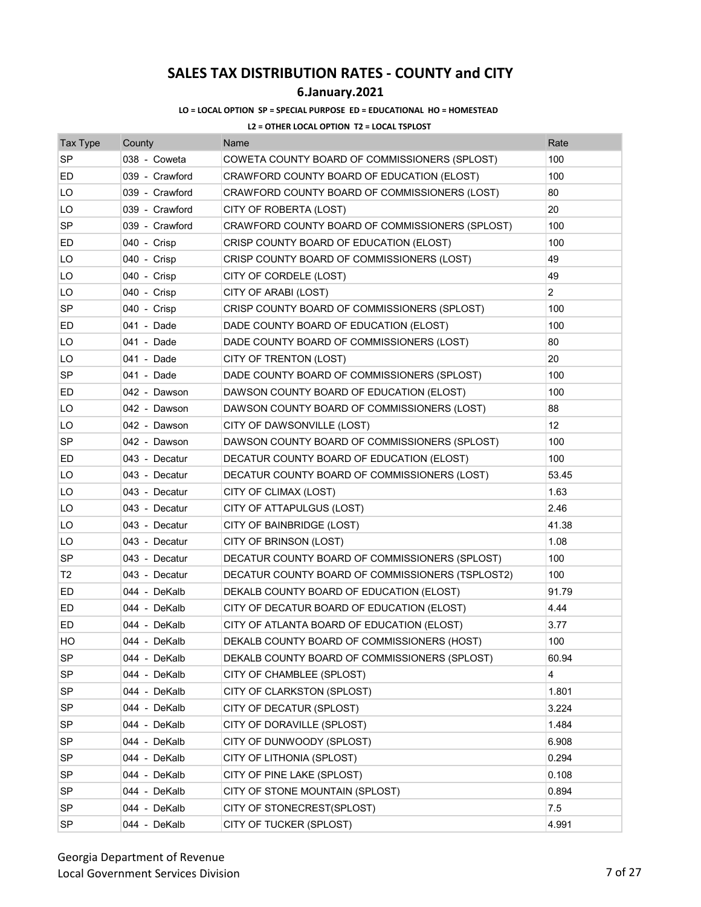## **6.January.2021**

### **LO = LOCAL OPTION SP = SPECIAL PURPOSE ED = EDUCATIONAL HO = HOMESTEAD**

| <b>Tax Type</b> | County         | Name                                             | Rate              |
|-----------------|----------------|--------------------------------------------------|-------------------|
| <b>SP</b>       | 038 - Coweta   | COWETA COUNTY BOARD OF COMMISSIONERS (SPLOST)    | 100               |
| ED              | 039 - Crawford | CRAWFORD COUNTY BOARD OF EDUCATION (ELOST)       | 100               |
| LO              | 039 - Crawford | CRAWFORD COUNTY BOARD OF COMMISSIONERS (LOST)    | 80                |
| LO              | 039 - Crawford | CITY OF ROBERTA (LOST)                           | 20                |
| <b>SP</b>       | 039 - Crawford | CRAWFORD COUNTY BOARD OF COMMISSIONERS (SPLOST)  | 100               |
| ED              | 040 - Crisp    | CRISP COUNTY BOARD OF EDUCATION (ELOST)          | 100               |
| LO              | 040 - Crisp    | CRISP COUNTY BOARD OF COMMISSIONERS (LOST)       | 49                |
| LO              | 040 - Crisp    | CITY OF CORDELE (LOST)                           | 49                |
| LO              | 040 - Crisp    | CITY OF ARABI (LOST)                             | $\overline{2}$    |
| <b>SP</b>       | 040 - Crisp    | CRISP COUNTY BOARD OF COMMISSIONERS (SPLOST)     | 100               |
| ED              | 041 - Dade     | DADE COUNTY BOARD OF EDUCATION (ELOST)           | 100               |
| LO              | 041 - Dade     | DADE COUNTY BOARD OF COMMISSIONERS (LOST)        | 80                |
| LO              | 041 - Dade     | CITY OF TRENTON (LOST)                           | 20                |
| SP              | 041 - Dade     | DADE COUNTY BOARD OF COMMISSIONERS (SPLOST)      | 100               |
| ED              | 042 - Dawson   | DAWSON COUNTY BOARD OF EDUCATION (ELOST)         | 100               |
| LO              | 042 - Dawson   | DAWSON COUNTY BOARD OF COMMISSIONERS (LOST)      | 88                |
| LO              | 042 - Dawson   | CITY OF DAWSONVILLE (LOST)                       | $12 \overline{ }$ |
| SP              | 042 - Dawson   | DAWSON COUNTY BOARD OF COMMISSIONERS (SPLOST)    | 100               |
| ED              | 043 - Decatur  | DECATUR COUNTY BOARD OF EDUCATION (ELOST)        | 100               |
| LO              | 043 - Decatur  | DECATUR COUNTY BOARD OF COMMISSIONERS (LOST)     | 53.45             |
| LO              | 043 - Decatur  | CITY OF CLIMAX (LOST)                            | 1.63              |
| LO              | 043 - Decatur  | CITY OF ATTAPULGUS (LOST)                        | 2.46              |
| LO              | 043 - Decatur  | CITY OF BAINBRIDGE (LOST)                        | 41.38             |
| LO              | 043 - Decatur  | CITY OF BRINSON (LOST)                           | 1.08              |
| SP              | 043 - Decatur  | DECATUR COUNTY BOARD OF COMMISSIONERS (SPLOST)   | 100               |
| T <sub>2</sub>  | 043 - Decatur  | DECATUR COUNTY BOARD OF COMMISSIONERS (TSPLOST2) | 100               |
| ED              | 044 - DeKalb   | DEKALB COUNTY BOARD OF EDUCATION (ELOST)         | 91.79             |
| ED              | 044 - DeKalb   | CITY OF DECATUR BOARD OF EDUCATION (ELOST)       | 4.44              |
| ED              | 044 - DeKalb   | CITY OF ATLANTA BOARD OF EDUCATION (ELOST)       | 3.77              |
| HО              | 044 - DeKalb   | DEKALB COUNTY BOARD OF COMMISSIONERS (HOST)      | 100               |
| SP              | 044 - DeKalb   | DEKALB COUNTY BOARD OF COMMISSIONERS (SPLOST)    | 60.94             |
| <b>SP</b>       | 044 - DeKalb   | CITY OF CHAMBLEE (SPLOST)                        | 4                 |
| SP              | 044 - DeKalb   | CITY OF CLARKSTON (SPLOST)                       | 1.801             |
| <b>SP</b>       | 044 - DeKalb   | CITY OF DECATUR (SPLOST)                         | 3.224             |
| SP              | 044 - DeKalb   | CITY OF DORAVILLE (SPLOST)                       | 1.484             |
| <b>SP</b>       | 044 - DeKalb   | CITY OF DUNWOODY (SPLOST)                        | 6.908             |
| <b>SP</b>       | 044 - DeKalb   | CITY OF LITHONIA (SPLOST)                        | 0.294             |
| <b>SP</b>       | 044 - DeKalb   | CITY OF PINE LAKE (SPLOST)                       | 0.108             |
| <b>SP</b>       | 044 - DeKalb   | CITY OF STONE MOUNTAIN (SPLOST)                  | 0.894             |
| <b>SP</b>       | 044 - DeKalb   | CITY OF STONECREST(SPLOST)                       | 7.5               |
| SP              | 044 - DeKalb   | CITY OF TUCKER (SPLOST)                          | 4.991             |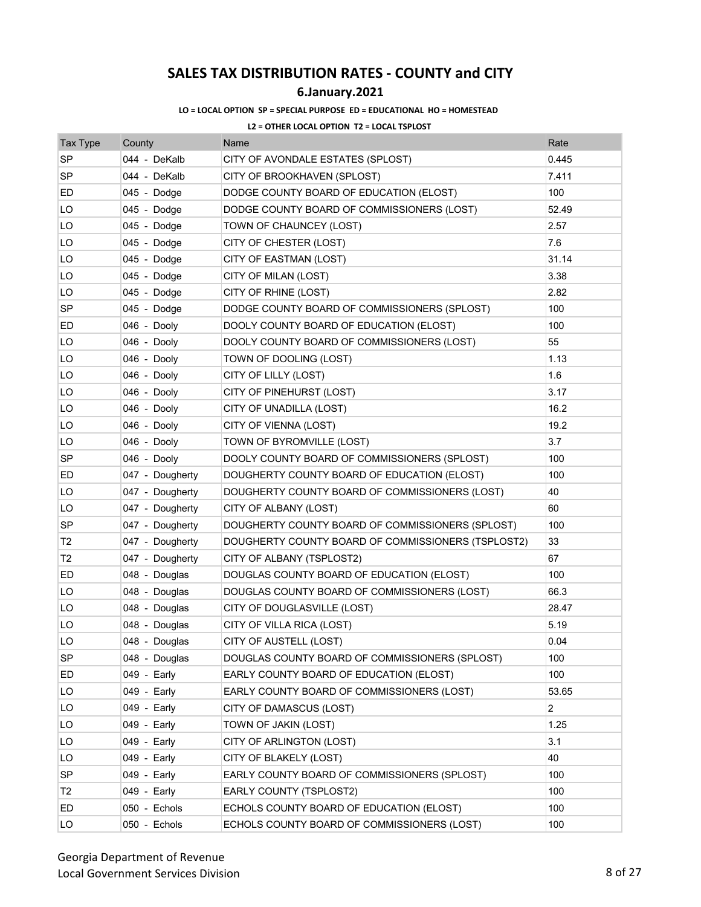## **6.January.2021**

### **LO = LOCAL OPTION SP = SPECIAL PURPOSE ED = EDUCATIONAL HO = HOMESTEAD**

| <b>Tax Type</b> | County          | Name                                               | Rate  |
|-----------------|-----------------|----------------------------------------------------|-------|
| <b>SP</b>       | 044 - DeKalb    | CITY OF AVONDALE ESTATES (SPLOST)                  | 0.445 |
| <b>SP</b>       | 044 - DeKalb    | CITY OF BROOKHAVEN (SPLOST)                        | 7.411 |
| ED              | 045 - Dodge     | DODGE COUNTY BOARD OF EDUCATION (ELOST)            | 100   |
| LO              | 045 - Dodge     | DODGE COUNTY BOARD OF COMMISSIONERS (LOST)         | 52.49 |
| LO              | 045 - Dodge     | TOWN OF CHAUNCEY (LOST)                            | 2.57  |
| LO              | 045 - Dodge     | CITY OF CHESTER (LOST)                             | 7.6   |
| LO              | 045 - Dodge     | CITY OF EASTMAN (LOST)                             | 31.14 |
| LO              | 045 - Dodge     | CITY OF MILAN (LOST)                               | 3.38  |
| LO              | 045 - Dodge     | CITY OF RHINE (LOST)                               | 2.82  |
| SP              | 045 - Dodge     | DODGE COUNTY BOARD OF COMMISSIONERS (SPLOST)       | 100   |
| ED              | 046 - Dooly     | DOOLY COUNTY BOARD OF EDUCATION (ELOST)            | 100   |
| LO              | 046 - Dooly     | DOOLY COUNTY BOARD OF COMMISSIONERS (LOST)         | 55    |
| LO              | 046 - Dooly     | TOWN OF DOOLING (LOST)                             | 1.13  |
| LO              | 046 - Dooly     | CITY OF LILLY (LOST)                               | 1.6   |
| LO              | 046 - Dooly     | CITY OF PINEHURST (LOST)                           | 3.17  |
| LO              | 046 - Dooly     | CITY OF UNADILLA (LOST)                            | 16.2  |
| LO              | 046 - Dooly     | CITY OF VIENNA (LOST)                              | 19.2  |
| LO              | 046 - Dooly     | TOWN OF BYROMVILLE (LOST)                          | 3.7   |
| <b>SP</b>       | 046 - Dooly     | DOOLY COUNTY BOARD OF COMMISSIONERS (SPLOST)       | 100   |
| ED              | 047 - Dougherty | DOUGHERTY COUNTY BOARD OF EDUCATION (ELOST)        | 100   |
| LO              | 047 - Dougherty | DOUGHERTY COUNTY BOARD OF COMMISSIONERS (LOST)     | 40    |
| LO              | 047 - Dougherty | CITY OF ALBANY (LOST)                              | 60    |
| SP              | 047 - Dougherty | DOUGHERTY COUNTY BOARD OF COMMISSIONERS (SPLOST)   | 100   |
| Т2              | 047 - Dougherty | DOUGHERTY COUNTY BOARD OF COMMISSIONERS (TSPLOST2) | 33    |
| T2              | 047 - Dougherty | CITY OF ALBANY (TSPLOST2)                          | 67    |
| ED              | 048 - Douglas   | DOUGLAS COUNTY BOARD OF EDUCATION (ELOST)          | 100   |
| LO              | 048 - Douglas   | DOUGLAS COUNTY BOARD OF COMMISSIONERS (LOST)       | 66.3  |
| LO              | 048 - Douglas   | CITY OF DOUGLASVILLE (LOST)                        | 28.47 |
| LO              | 048 - Douglas   | CITY OF VILLA RICA (LOST)                          | 5.19  |
| LO              | 048 - Douglas   | CITY OF AUSTELL (LOST)                             | 0.04  |
| SP              | 048 - Douglas   | DOUGLAS COUNTY BOARD OF COMMISSIONERS (SPLOST)     | 100   |
| ED              | 049 - Early     | EARLY COUNTY BOARD OF EDUCATION (ELOST)            | 100   |
| LO              | 049 - Early     | EARLY COUNTY BOARD OF COMMISSIONERS (LOST)         | 53.65 |
| LO              | 049 - Early     | CITY OF DAMASCUS (LOST)                            | 2     |
| LO              | 049 - Early     | TOWN OF JAKIN (LOST)                               | 1.25  |
| LO              | 049 - Early     | CITY OF ARLINGTON (LOST)                           | 3.1   |
| LO              | 049 - Early     | CITY OF BLAKELY (LOST)                             | 40    |
| SP              | 049 - Early     | EARLY COUNTY BOARD OF COMMISSIONERS (SPLOST)       | 100   |
| T <sub>2</sub>  | 049 - Early     | EARLY COUNTY (TSPLOST2)                            | 100   |
| ED              | 050 - Echols    | ECHOLS COUNTY BOARD OF EDUCATION (ELOST)           | 100   |
| LO              | 050 - Echols    | ECHOLS COUNTY BOARD OF COMMISSIONERS (LOST)        | 100   |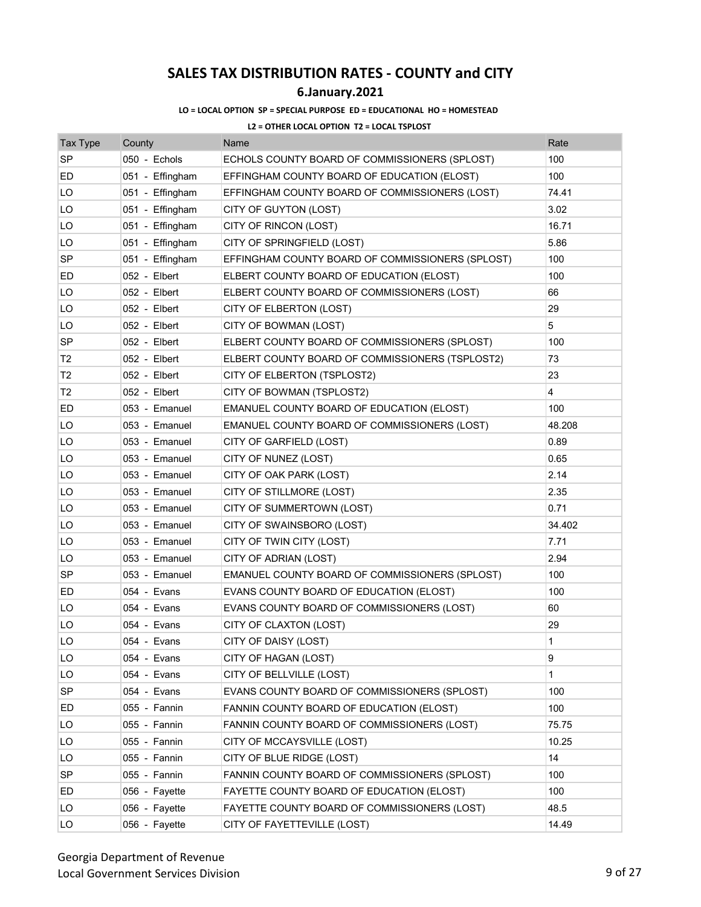## **6.January.2021**

### **LO = LOCAL OPTION SP = SPECIAL PURPOSE ED = EDUCATIONAL HO = HOMESTEAD**

| <b>Tax Type</b> | County          | Name                                             | Rate         |
|-----------------|-----------------|--------------------------------------------------|--------------|
| <b>SP</b>       | 050 - Echols    | ECHOLS COUNTY BOARD OF COMMISSIONERS (SPLOST)    | 100          |
| ED              | 051 - Effingham | EFFINGHAM COUNTY BOARD OF EDUCATION (ELOST)      | 100          |
| LO              | 051 - Effingham | EFFINGHAM COUNTY BOARD OF COMMISSIONERS (LOST)   | 74.41        |
| LO              | 051 - Effingham | CITY OF GUYTON (LOST)                            | 3.02         |
| LO              | 051 - Effingham | CITY OF RINCON (LOST)                            | 16.71        |
| LO              | 051 - Effingham | CITY OF SPRINGFIELD (LOST)                       | 5.86         |
| SP              | 051 - Effingham | EFFINGHAM COUNTY BOARD OF COMMISSIONERS (SPLOST) | 100          |
| ED              | 052 - Elbert    | ELBERT COUNTY BOARD OF EDUCATION (ELOST)         | 100          |
| LO              | 052 - Elbert    | ELBERT COUNTY BOARD OF COMMISSIONERS (LOST)      | 66           |
| LO              | 052 - Elbert    | CITY OF ELBERTON (LOST)                          | 29           |
| LO              | 052 - Elbert    | CITY OF BOWMAN (LOST)                            | 5            |
| SP              | 052 - Elbert    | ELBERT COUNTY BOARD OF COMMISSIONERS (SPLOST)    | 100          |
| T2              | 052 - Elbert    | ELBERT COUNTY BOARD OF COMMISSIONERS (TSPLOST2)  | 73           |
| T2              | 052 - Elbert    | CITY OF ELBERTON (TSPLOST2)                      | 23           |
| T <sub>2</sub>  | 052 - Elbert    | CITY OF BOWMAN (TSPLOST2)                        | 4            |
| ED              | 053 - Emanuel   | EMANUEL COUNTY BOARD OF EDUCATION (ELOST)        | 100          |
| LO              | 053 - Emanuel   | EMANUEL COUNTY BOARD OF COMMISSIONERS (LOST)     | 48.208       |
| LO              | 053 - Emanuel   | CITY OF GARFIELD (LOST)                          | 0.89         |
| LO              | 053 - Emanuel   | CITY OF NUNEZ (LOST)                             | 0.65         |
| LO              | 053 - Emanuel   | CITY OF OAK PARK (LOST)                          | 2.14         |
| LO              | 053 - Emanuel   | CITY OF STILLMORE (LOST)                         | 2.35         |
| LO              | 053 - Emanuel   | CITY OF SUMMERTOWN (LOST)                        | 0.71         |
| LO              | 053 - Emanuel   | CITY OF SWAINSBORO (LOST)                        | 34.402       |
| LO              | 053 - Emanuel   | CITY OF TWIN CITY (LOST)                         | 7.71         |
| LO              | 053 - Emanuel   | CITY OF ADRIAN (LOST)                            | 2.94         |
| <b>SP</b>       | 053 - Emanuel   | EMANUEL COUNTY BOARD OF COMMISSIONERS (SPLOST)   | 100          |
| ED              | 054 - Evans     | EVANS COUNTY BOARD OF EDUCATION (ELOST)          | 100          |
| LO              | 054 - Evans     | EVANS COUNTY BOARD OF COMMISSIONERS (LOST)       | 60           |
| LO              | 054 - Evans     | CITY OF CLAXTON (LOST)                           | 29           |
| LO              | 054 - Evans     | CITY OF DAISY (LOST)                             | 1            |
| LO              | 054 - Evans     | CITY OF HAGAN (LOST)                             | 9            |
| LO              | 054 - Evans     | CITY OF BELLVILLE (LOST)                         | $\mathbf{1}$ |
| <b>SP</b>       | 054 - Evans     | EVANS COUNTY BOARD OF COMMISSIONERS (SPLOST)     | 100          |
| ED              | 055 - Fannin    | FANNIN COUNTY BOARD OF EDUCATION (ELOST)         | 100          |
| LO              | 055 - Fannin    | FANNIN COUNTY BOARD OF COMMISSIONERS (LOST)      | 75.75        |
| LO              | 055 - Fannin    | CITY OF MCCAYSVILLE (LOST)                       | 10.25        |
| LO              | 055 - Fannin    | CITY OF BLUE RIDGE (LOST)                        | 14           |
| SP              | 055 - Fannin    | FANNIN COUNTY BOARD OF COMMISSIONERS (SPLOST)    | 100          |
| ED              | 056 - Fayette   | FAYETTE COUNTY BOARD OF EDUCATION (ELOST)        | 100          |
| LO              | 056 - Fayette   | FAYETTE COUNTY BOARD OF COMMISSIONERS (LOST)     | 48.5         |
| LO              | 056 - Fayette   | CITY OF FAYETTEVILLE (LOST)                      | 14.49        |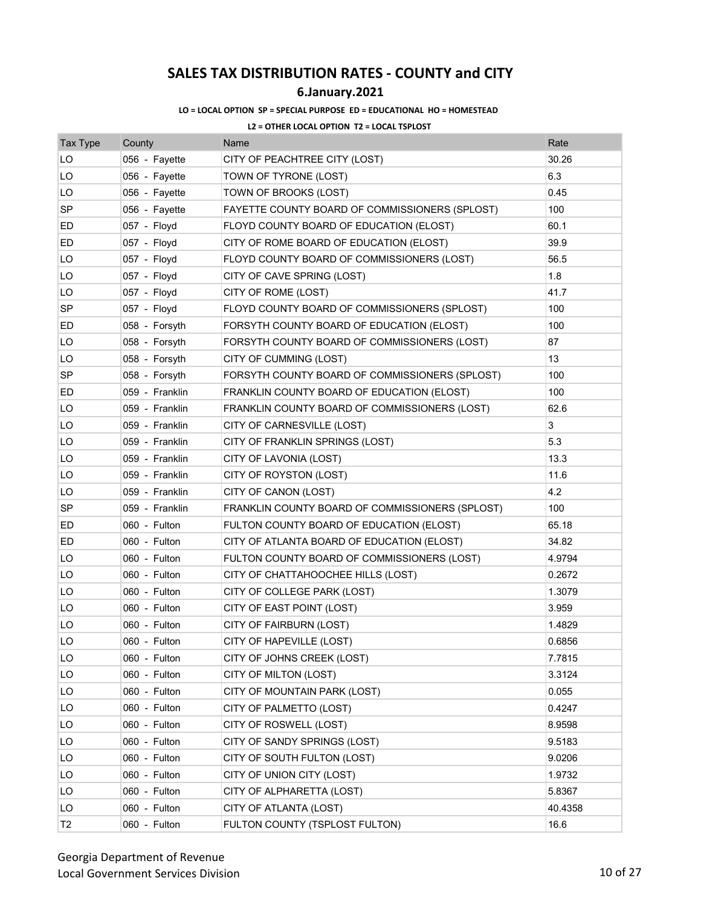## **6.January.2021**

### **LO = LOCAL OPTION SP = SPECIAL PURPOSE ED = EDUCATIONAL HO = HOMESTEAD**

| Tax Type       | County         | Name                                            | Rate    |
|----------------|----------------|-------------------------------------------------|---------|
| LO             | 056 - Fayette  | CITY OF PEACHTREE CITY (LOST)                   | 30.26   |
| LO             | 056 - Fayette  | TOWN OF TYRONE (LOST)                           | 6.3     |
| LO             | 056 - Fayette  | TOWN OF BROOKS (LOST)                           | 0.45    |
| <b>SP</b>      | 056 - Fayette  | FAYETTE COUNTY BOARD OF COMMISSIONERS (SPLOST)  | 100     |
| ED             | 057 - Floyd    | FLOYD COUNTY BOARD OF EDUCATION (ELOST)         | 60.1    |
| ED             | 057 - Floyd    | CITY OF ROME BOARD OF EDUCATION (ELOST)         | 39.9    |
| LO             | 057 - Floyd    | FLOYD COUNTY BOARD OF COMMISSIONERS (LOST)      | 56.5    |
| LO             | 057 - Floyd    | CITY OF CAVE SPRING (LOST)                      | 1.8     |
| LO             | 057 - Floyd    | CITY OF ROME (LOST)                             | 41.7    |
| <b>SP</b>      | 057 - Floyd    | FLOYD COUNTY BOARD OF COMMISSIONERS (SPLOST)    | 100     |
| ED             | 058 - Forsyth  | FORSYTH COUNTY BOARD OF EDUCATION (ELOST)       | 100     |
| LO             | 058 - Forsyth  | FORSYTH COUNTY BOARD OF COMMISSIONERS (LOST)    | 87      |
| LO             | 058 - Forsyth  | CITY OF CUMMING (LOST)                          | 13      |
| <b>SP</b>      | 058 - Forsyth  | FORSYTH COUNTY BOARD OF COMMISSIONERS (SPLOST)  | 100     |
| ED             | 059 - Franklin | FRANKLIN COUNTY BOARD OF EDUCATION (ELOST)      | 100     |
| LO             | 059 - Franklin | FRANKLIN COUNTY BOARD OF COMMISSIONERS (LOST)   | 62.6    |
| LO             | 059 - Franklin | CITY OF CARNESVILLE (LOST)                      | 3       |
| LO             | 059 - Franklin | CITY OF FRANKLIN SPRINGS (LOST)                 | 5.3     |
| LO             | 059 - Franklin | CITY OF LAVONIA (LOST)                          | 13.3    |
| LO             | 059 - Franklin | CITY OF ROYSTON (LOST)                          | 11.6    |
| LO             | 059 - Franklin | CITY OF CANON (LOST)                            | 4.2     |
| <b>SP</b>      | 059 - Franklin | FRANKLIN COUNTY BOARD OF COMMISSIONERS (SPLOST) | 100     |
| ED             | 060 - Fulton   | FULTON COUNTY BOARD OF EDUCATION (ELOST)        | 65.18   |
| ED.            | 060 - Fulton   | CITY OF ATLANTA BOARD OF EDUCATION (ELOST)      | 34.82   |
| LO             | 060 - Fulton   | FULTON COUNTY BOARD OF COMMISSIONERS (LOST)     | 4.9794  |
| LO             | 060 - Fulton   | CITY OF CHATTAHOOCHEE HILLS (LOST)              | 0.2672  |
| LO             | 060 - Fulton   | CITY OF COLLEGE PARK (LOST)                     | 1.3079  |
| LO             | 060 - Fulton   | CITY OF EAST POINT (LOST)                       | 3.959   |
| LO             | 060 - Fulton   | CITY OF FAIRBURN (LOST)                         | 1.4829  |
| LO             | 060 - Fulton   | CITY OF HAPEVILLE (LOST)                        | 0.6856  |
| LO             | 060 - Fulton   | CITY OF JOHNS CREEK (LOST)                      | 7.7815  |
| LO             | 060 - Fulton   | CITY OF MILTON (LOST)                           | 3.3124  |
| LO             | 060 - Fulton   | CITY OF MOUNTAIN PARK (LOST)                    | 0.055   |
| LO             | 060 - Fulton   | CITY OF PALMETTO (LOST)                         | 0.4247  |
| LO             | 060 - Fulton   | CITY OF ROSWELL (LOST)                          | 8.9598  |
| LO             | 060 - Fulton   | CITY OF SANDY SPRINGS (LOST)                    | 9.5183  |
| LO             | 060 - Fulton   | CITY OF SOUTH FULTON (LOST)                     | 9.0206  |
| LO             | 060 - Fulton   | CITY OF UNION CITY (LOST)                       | 1.9732  |
| LO             | 060 - Fulton   | CITY OF ALPHARETTA (LOST)                       | 5.8367  |
| LO             | 060 - Fulton   | CITY OF ATLANTA (LOST)                          | 40.4358 |
| T <sub>2</sub> | 060 - Fulton   | FULTON COUNTY (TSPLOST FULTON)                  | 16.6    |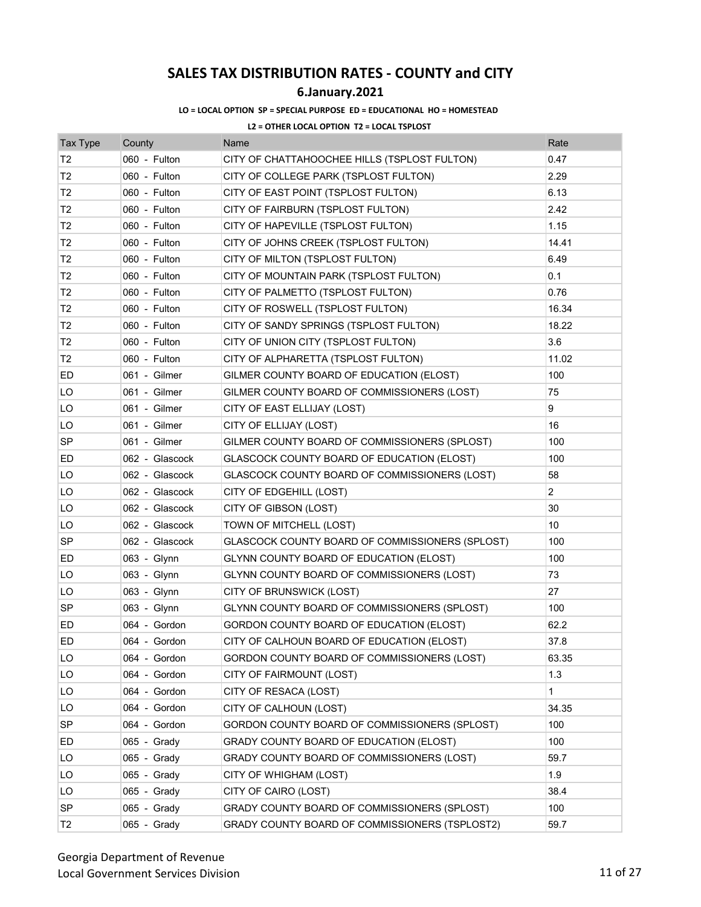## **6.January.2021**

### **LO = LOCAL OPTION SP = SPECIAL PURPOSE ED = EDUCATIONAL HO = HOMESTEAD**

| <b>Tax Type</b> | County         | Name                                            | Rate           |
|-----------------|----------------|-------------------------------------------------|----------------|
| Т2              | 060 - Fulton   | CITY OF CHATTAHOOCHEE HILLS (TSPLOST FULTON)    | 0.47           |
| T <sub>2</sub>  | 060 - Fulton   | CITY OF COLLEGE PARK (TSPLOST FULTON)           | 2.29           |
| T <sub>2</sub>  | 060 - Fulton   | CITY OF EAST POINT (TSPLOST FULTON)             | 6.13           |
| T2              | 060 - Fulton   | CITY OF FAIRBURN (TSPLOST FULTON)               | 2.42           |
| T <sub>2</sub>  | 060 - Fulton   | CITY OF HAPEVILLE (TSPLOST FULTON)              | 1.15           |
| Т2              | 060 - Fulton   | CITY OF JOHNS CREEK (TSPLOST FULTON)            | 14.41          |
| Т2              | 060 - Fulton   | CITY OF MILTON (TSPLOST FULTON)                 | 6.49           |
| T <sub>2</sub>  | 060 - Fulton   | CITY OF MOUNTAIN PARK (TSPLOST FULTON)          | 0.1            |
| T <sub>2</sub>  | 060 - Fulton   | CITY OF PALMETTO (TSPLOST FULTON)               | 0.76           |
| T2              | 060 - Fulton   | CITY OF ROSWELL (TSPLOST FULTON)                | 16.34          |
| T <sub>2</sub>  | 060 - Fulton   | CITY OF SANDY SPRINGS (TSPLOST FULTON)          | 18.22          |
| T <sub>2</sub>  | 060 - Fulton   | CITY OF UNION CITY (TSPLOST FULTON)             | 3.6            |
| T2              | 060 - Fulton   | CITY OF ALPHARETTA (TSPLOST FULTON)             | 11.02          |
| ED              | 061 - Gilmer   | GILMER COUNTY BOARD OF EDUCATION (ELOST)        | 100            |
| LO              | 061 - Gilmer   | GILMER COUNTY BOARD OF COMMISSIONERS (LOST)     | 75             |
| LO              | 061 - Gilmer   | CITY OF EAST ELLIJAY (LOST)                     | 9              |
| LO              | 061 - Gilmer   | CITY OF ELLIJAY (LOST)                          | 16             |
| SP              | 061 - Gilmer   | GILMER COUNTY BOARD OF COMMISSIONERS (SPLOST)   | 100            |
| ED              | 062 - Glascock | GLASCOCK COUNTY BOARD OF EDUCATION (ELOST)      | 100            |
| LO              | 062 - Glascock | GLASCOCK COUNTY BOARD OF COMMISSIONERS (LOST)   | 58             |
| LO              | 062 - Glascock | CITY OF EDGEHILL (LOST)                         | $\overline{2}$ |
| LO              | 062 - Glascock | CITY OF GIBSON (LOST)                           | 30             |
| LO              | 062 - Glascock | TOWN OF MITCHELL (LOST)                         | 10             |
| SP              | 062 - Glascock | GLASCOCK COUNTY BOARD OF COMMISSIONERS (SPLOST) | 100            |
| ED              | 063 - Glynn    | GLYNN COUNTY BOARD OF EDUCATION (ELOST)         | 100            |
| LO              | 063 - Glynn    | GLYNN COUNTY BOARD OF COMMISSIONERS (LOST)      | 73             |
| LO              | 063 - Glynn    | CITY OF BRUNSWICK (LOST)                        | 27             |
| <b>SP</b>       | 063 - Glynn    | GLYNN COUNTY BOARD OF COMMISSIONERS (SPLOST)    | 100            |
| ED              | 064 - Gordon   | GORDON COUNTY BOARD OF EDUCATION (ELOST)        | 62.2           |
| ED              | 064 - Gordon   | CITY OF CALHOUN BOARD OF EDUCATION (ELOST)      | 37.8           |
| LO              | 064 - Gordon   | GORDON COUNTY BOARD OF COMMISSIONERS (LOST)     | 63.35          |
| LO              | 064 - Gordon   | CITY OF FAIRMOUNT (LOST)                        | 1.3            |
| LO              | 064 - Gordon   | CITY OF RESACA (LOST)                           | 1              |
| LO              | 064 - Gordon   | CITY OF CALHOUN (LOST)                          | 34.35          |
| <b>SP</b>       | 064 - Gordon   | GORDON COUNTY BOARD OF COMMISSIONERS (SPLOST)   | 100            |
| ED              | 065 - Grady    | GRADY COUNTY BOARD OF EDUCATION (ELOST)         | 100            |
| LO              | 065 - Grady    | GRADY COUNTY BOARD OF COMMISSIONERS (LOST)      | 59.7           |
| LO              | 065 - Grady    | CITY OF WHIGHAM (LOST)                          | 1.9            |
| LO              | 065 - Grady    | CITY OF CAIRO (LOST)                            | 38.4           |
| <b>SP</b>       | 065 - Grady    | GRADY COUNTY BOARD OF COMMISSIONERS (SPLOST)    | 100            |
| T <sub>2</sub>  | 065 - Grady    | GRADY COUNTY BOARD OF COMMISSIONERS (TSPLOST2)  | 59.7           |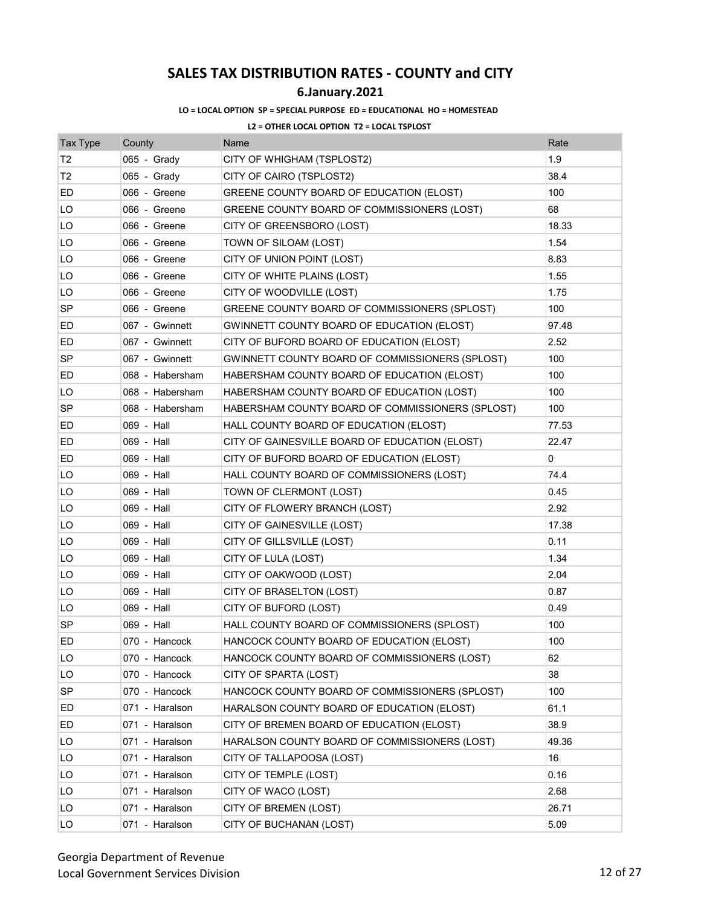### **6.January.2021**

#### **LO = LOCAL OPTION SP = SPECIAL PURPOSE ED = EDUCATIONAL HO = HOMESTEAD**

| <b>Tax Type</b> | County          | Name                                             | Rate  |
|-----------------|-----------------|--------------------------------------------------|-------|
| T2              | 065 - Grady     | CITY OF WHIGHAM (TSPLOST2)                       | 1.9   |
| T <sub>2</sub>  | 065 - Grady     | CITY OF CAIRO (TSPLOST2)                         | 38.4  |
| ED              | 066 - Greene    | GREENE COUNTY BOARD OF EDUCATION (ELOST)         | 100   |
| LO              | 066 - Greene    | GREENE COUNTY BOARD OF COMMISSIONERS (LOST)      | 68    |
| LO              | 066 - Greene    | CITY OF GREENSBORO (LOST)                        | 18.33 |
| LO              | 066 - Greene    | TOWN OF SILOAM (LOST)                            | 1.54  |
| LO              | 066 - Greene    | CITY OF UNION POINT (LOST)                       | 8.83  |
| LO              | 066 - Greene    | CITY OF WHITE PLAINS (LOST)                      | 1.55  |
| LO              | 066 - Greene    | CITY OF WOODVILLE (LOST)                         | 1.75  |
| <b>SP</b>       | 066 - Greene    | GREENE COUNTY BOARD OF COMMISSIONERS (SPLOST)    | 100   |
| ED              | 067 - Gwinnett  | GWINNETT COUNTY BOARD OF EDUCATION (ELOST)       | 97.48 |
| ED              | 067 - Gwinnett  | CITY OF BUFORD BOARD OF EDUCATION (ELOST)        | 2.52  |
| <b>SP</b>       | 067 - Gwinnett  | GWINNETT COUNTY BOARD OF COMMISSIONERS (SPLOST)  | 100   |
| ED              | 068 - Habersham | HABERSHAM COUNTY BOARD OF EDUCATION (ELOST)      | 100   |
| LO              | 068 - Habersham | HABERSHAM COUNTY BOARD OF EDUCATION (LOST)       | 100   |
| SP              | 068 - Habersham | HABERSHAM COUNTY BOARD OF COMMISSIONERS (SPLOST) | 100   |
| ED              | 069 - Hall      | HALL COUNTY BOARD OF EDUCATION (ELOST)           | 77.53 |
| ED              | 069 - Hall      | CITY OF GAINESVILLE BOARD OF EDUCATION (ELOST)   | 22.47 |
| ED              | 069 - Hall      | CITY OF BUFORD BOARD OF EDUCATION (ELOST)        | 0     |
| LO              | 069 - Hall      | HALL COUNTY BOARD OF COMMISSIONERS (LOST)        | 74.4  |
| LO              | 069 - Hall      | TOWN OF CLERMONT (LOST)                          | 0.45  |
| LO              | 069 - Hall      | CITY OF FLOWERY BRANCH (LOST)                    | 2.92  |
| LO              | 069 - Hall      | CITY OF GAINESVILLE (LOST)                       | 17.38 |
| LO              | 069 - Hall      | CITY OF GILLSVILLE (LOST)                        | 0.11  |
| LO              | 069 - Hall      | CITY OF LULA (LOST)                              | 1.34  |
| LO              | 069 - Hall      | CITY OF OAKWOOD (LOST)                           | 2.04  |
| LO              | 069 - Hall      | CITY OF BRASELTON (LOST)                         | 0.87  |
| LO              | 069 - Hall      | CITY OF BUFORD (LOST)                            | 0.49  |
| <b>SP</b>       | 069 - Hall      | HALL COUNTY BOARD OF COMMISSIONERS (SPLOST)      | 100   |
| ED              | 070 - Hancock   | HANCOCK COUNTY BOARD OF EDUCATION (ELOST)        | 100   |
| LO              | 070 - Hancock   | HANCOCK COUNTY BOARD OF COMMISSIONERS (LOST)     | 62    |
| LO              | 070 - Hancock   | CITY OF SPARTA (LOST)                            | 38    |
| SP              | 070 - Hancock   | HANCOCK COUNTY BOARD OF COMMISSIONERS (SPLOST)   | 100   |
| ED              | 071 - Haralson  | HARALSON COUNTY BOARD OF EDUCATION (ELOST)       | 61.1  |
| ED              | 071 - Haralson  | CITY OF BREMEN BOARD OF EDUCATION (ELOST)        | 38.9  |
| LO              | 071 - Haralson  | HARALSON COUNTY BOARD OF COMMISSIONERS (LOST)    | 49.36 |
| LO              | 071 - Haralson  | CITY OF TALLAPOOSA (LOST)                        | 16    |
| LO              | 071 - Haralson  | CITY OF TEMPLE (LOST)                            | 0.16  |
| LO              | 071 - Haralson  | CITY OF WACO (LOST)                              | 2.68  |
| LO              | 071 - Haralson  | CITY OF BREMEN (LOST)                            | 26.71 |
| LO              | 071 - Haralson  | CITY OF BUCHANAN (LOST)                          | 5.09  |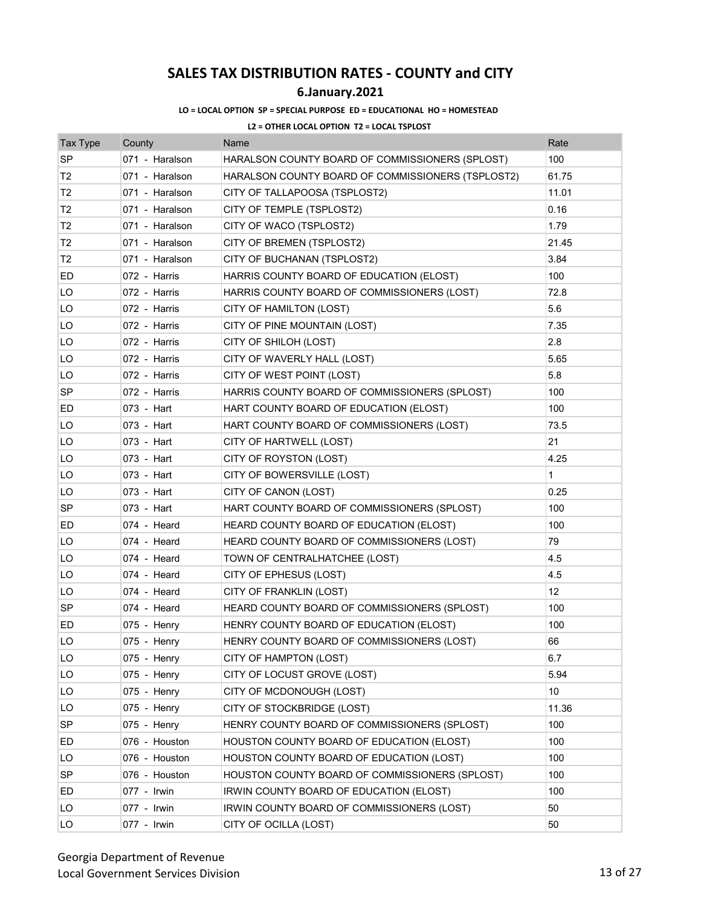## **6.January.2021**

### **LO = LOCAL OPTION SP = SPECIAL PURPOSE ED = EDUCATIONAL HO = HOMESTEAD**

| <b>Tax Type</b> | County         | Name                                              | Rate            |
|-----------------|----------------|---------------------------------------------------|-----------------|
| <b>SP</b>       | 071 - Haralson | HARALSON COUNTY BOARD OF COMMISSIONERS (SPLOST)   | 100             |
| Т2              | 071 - Haralson | HARALSON COUNTY BOARD OF COMMISSIONERS (TSPLOST2) | 61.75           |
| T <sub>2</sub>  | 071 - Haralson | CITY OF TALLAPOOSA (TSPLOST2)                     | 11.01           |
| T <sub>2</sub>  | 071 - Haralson | CITY OF TEMPLE (TSPLOST2)                         | 0.16            |
| T2              | 071 - Haralson | CITY OF WACO (TSPLOST2)                           | 1.79            |
| T <sub>2</sub>  | 071 - Haralson | CITY OF BREMEN (TSPLOST2)                         | 21.45           |
| T <sub>2</sub>  | 071 - Haralson | CITY OF BUCHANAN (TSPLOST2)                       | 3.84            |
| ED              | 072 - Harris   | HARRIS COUNTY BOARD OF EDUCATION (ELOST)          | 100             |
| LO              | 072 - Harris   | HARRIS COUNTY BOARD OF COMMISSIONERS (LOST)       | 72.8            |
| LO              | 072 - Harris   | CITY OF HAMILTON (LOST)                           | 5.6             |
| LO              | 072 - Harris   | CITY OF PINE MOUNTAIN (LOST)                      | 7.35            |
| LO              | 072 - Harris   | CITY OF SHILOH (LOST)                             | 2.8             |
| LO              | 072 - Harris   | CITY OF WAVERLY HALL (LOST)                       | 5.65            |
| LO              | 072 - Harris   | CITY OF WEST POINT (LOST)                         | 5.8             |
| SP              | 072 - Harris   | HARRIS COUNTY BOARD OF COMMISSIONERS (SPLOST)     | 100             |
| ED              | 073 - Hart     | HART COUNTY BOARD OF EDUCATION (ELOST)            | 100             |
| LO              | 073 - Hart     | HART COUNTY BOARD OF COMMISSIONERS (LOST)         | 73.5            |
| LO              | 073 - Hart     | CITY OF HARTWELL (LOST)                           | 21              |
| LO              | 073 - Hart     | CITY OF ROYSTON (LOST)                            | 4.25            |
| LO              | 073 - Hart     | CITY OF BOWERSVILLE (LOST)                        | 1               |
| LO              | 073 - Hart     | CITY OF CANON (LOST)                              | 0.25            |
| <b>SP</b>       | 073 - Hart     | HART COUNTY BOARD OF COMMISSIONERS (SPLOST)       | 100             |
| ED              | 074 - Heard    | HEARD COUNTY BOARD OF EDUCATION (ELOST)           | 100             |
| LO              | 074 - Heard    | HEARD COUNTY BOARD OF COMMISSIONERS (LOST)        | 79              |
| LO              | 074 - Heard    | TOWN OF CENTRALHATCHEE (LOST)                     | 4.5             |
| LO              | 074 - Heard    | CITY OF EPHESUS (LOST)                            | 4.5             |
| LO              | 074 - Heard    | CITY OF FRANKLIN (LOST)                           | 12 <sup>°</sup> |
| <b>SP</b>       | 074 - Heard    | HEARD COUNTY BOARD OF COMMISSIONERS (SPLOST)      | 100             |
| ED              | $075 -$ Henry  | HENRY COUNTY BOARD OF EDUCATION (ELOST)           | 100             |
| LO              | 075 - Henry    | HENRY COUNTY BOARD OF COMMISSIONERS (LOST)        | 66              |
| LO              | 075 - Henry    | CITY OF HAMPTON (LOST)                            | 6.7             |
| LO              | 075 - Henry    | CITY OF LOCUST GROVE (LOST)                       | 5.94            |
| LO              | 075 - Henry    | CITY OF MCDONOUGH (LOST)                          | 10              |
| LO              | $075 -$ Henry  | CITY OF STOCKBRIDGE (LOST)                        | 11.36           |
| <b>SP</b>       | 075 - Henry    | HENRY COUNTY BOARD OF COMMISSIONERS (SPLOST)      | 100             |
| ED              | 076 - Houston  | HOUSTON COUNTY BOARD OF EDUCATION (ELOST)         | 100             |
| LO              | 076 - Houston  | HOUSTON COUNTY BOARD OF EDUCATION (LOST)          | 100             |
| SP              | 076 - Houston  | HOUSTON COUNTY BOARD OF COMMISSIONERS (SPLOST)    | 100             |
| ED              | 077 - Irwin    | IRWIN COUNTY BOARD OF EDUCATION (ELOST)           | 100             |
| LO              | 077 - Irwin    | IRWIN COUNTY BOARD OF COMMISSIONERS (LOST)        | 50              |
| LO              | 077 - Irwin    | CITY OF OCILLA (LOST)                             | 50              |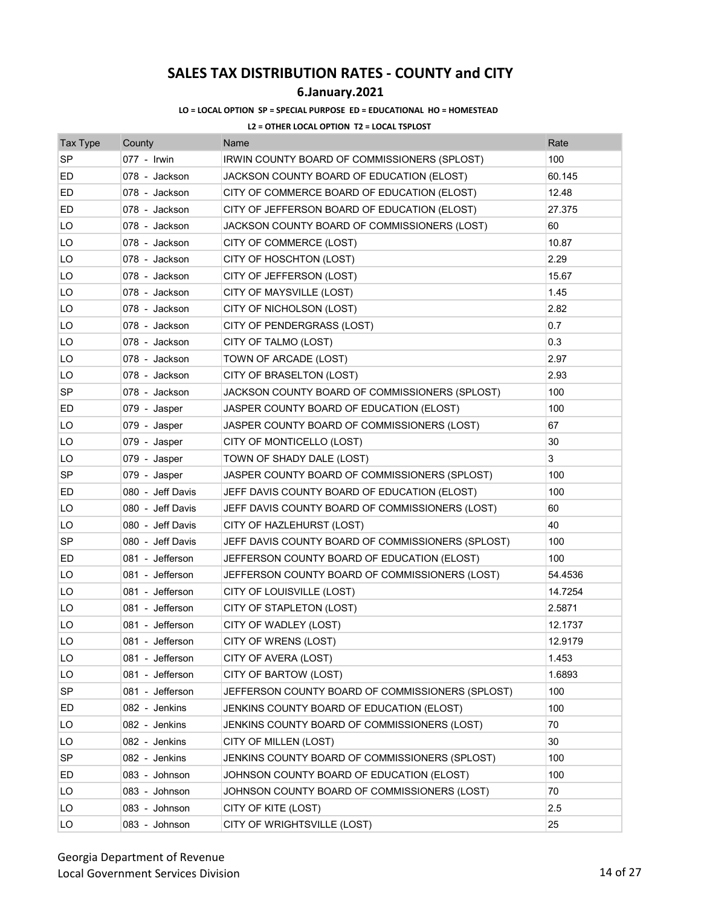## **6.January.2021**

#### **LO = LOCAL OPTION SP = SPECIAL PURPOSE ED = EDUCATIONAL HO = HOMESTEAD**

| <b>Tax Type</b> | County           | Name                                              | Rate    |
|-----------------|------------------|---------------------------------------------------|---------|
| <b>SP</b>       | 077 - Irwin      | IRWIN COUNTY BOARD OF COMMISSIONERS (SPLOST)      | 100     |
| ED              | 078 - Jackson    | JACKSON COUNTY BOARD OF EDUCATION (ELOST)         | 60.145  |
| ED              | 078 - Jackson    | CITY OF COMMERCE BOARD OF EDUCATION (ELOST)       | 12.48   |
| ED              | 078 - Jackson    | CITY OF JEFFERSON BOARD OF EDUCATION (ELOST)      | 27.375  |
| LO              | 078 - Jackson    | JACKSON COUNTY BOARD OF COMMISSIONERS (LOST)      | 60      |
| LO              | 078 - Jackson    | CITY OF COMMERCE (LOST)                           | 10.87   |
| LO              | 078 - Jackson    | CITY OF HOSCHTON (LOST)                           | 2.29    |
| LO              | 078 - Jackson    | CITY OF JEFFERSON (LOST)                          | 15.67   |
| LO              | 078 - Jackson    | CITY OF MAYSVILLE (LOST)                          | 1.45    |
| LO              | 078 - Jackson    | CITY OF NICHOLSON (LOST)                          | 2.82    |
| LO              | 078 - Jackson    | CITY OF PENDERGRASS (LOST)                        | 0.7     |
| LO              | 078 - Jackson    | CITY OF TALMO (LOST)                              | 0.3     |
| LO              | 078 - Jackson    | TOWN OF ARCADE (LOST)                             | 2.97    |
| LO              | 078 - Jackson    | CITY OF BRASELTON (LOST)                          | 2.93    |
| <b>SP</b>       | 078 - Jackson    | JACKSON COUNTY BOARD OF COMMISSIONERS (SPLOST)    | 100     |
| ED              | 079 - Jasper     | JASPER COUNTY BOARD OF EDUCATION (ELOST)          | 100     |
| LO              | 079 - Jasper     | JASPER COUNTY BOARD OF COMMISSIONERS (LOST)       | 67      |
| LO              | 079 - Jasper     | CITY OF MONTICELLO (LOST)                         | 30      |
| LO              | 079 - Jasper     | TOWN OF SHADY DALE (LOST)                         | 3       |
| <b>SP</b>       | 079 - Jasper     | JASPER COUNTY BOARD OF COMMISSIONERS (SPLOST)     | 100     |
| ED              | 080 - Jeff Davis | JEFF DAVIS COUNTY BOARD OF EDUCATION (ELOST)      | 100     |
| LO              | 080 - Jeff Davis | JEFF DAVIS COUNTY BOARD OF COMMISSIONERS (LOST)   | 60      |
| LO              | 080 - Jeff Davis | CITY OF HAZLEHURST (LOST)                         | 40      |
| <b>SP</b>       | 080 - Jeff Davis | JEFF DAVIS COUNTY BOARD OF COMMISSIONERS (SPLOST) | 100     |
| ED              | 081 - Jefferson  | JEFFERSON COUNTY BOARD OF EDUCATION (ELOST)       | 100     |
| LO              | 081 - Jefferson  | JEFFERSON COUNTY BOARD OF COMMISSIONERS (LOST)    | 54.4536 |
| LO              | 081 - Jefferson  | CITY OF LOUISVILLE (LOST)                         | 14.7254 |
| LO              | 081 - Jefferson  | CITY OF STAPLETON (LOST)                          | 2.5871  |
| LO              | 081 - Jefferson  | CITY OF WADLEY (LOST)                             | 12.1737 |
| LO              | 081 - Jefferson  | CITY OF WRENS (LOST)                              | 12.9179 |
| LO              | 081 - Jefferson  | CITY OF AVERA (LOST)                              | 1.453   |
| LO              | 081 - Jefferson  | CITY OF BARTOW (LOST)                             | 1.6893  |
| <b>SP</b>       | 081 - Jefferson  | JEFFERSON COUNTY BOARD OF COMMISSIONERS (SPLOST)  | 100     |
| ED              | 082 - Jenkins    | JENKINS COUNTY BOARD OF EDUCATION (ELOST)         | 100     |
| LO              | 082 - Jenkins    | JENKINS COUNTY BOARD OF COMMISSIONERS (LOST)      | 70      |
| LO              | 082 - Jenkins    | CITY OF MILLEN (LOST)                             | 30      |
| SP              | 082 - Jenkins    | JENKINS COUNTY BOARD OF COMMISSIONERS (SPLOST)    | 100     |
| ED              | 083 - Johnson    | JOHNSON COUNTY BOARD OF EDUCATION (ELOST)         | 100     |
| LO              | 083 - Johnson    | JOHNSON COUNTY BOARD OF COMMISSIONERS (LOST)      | 70      |
| LO              | 083 - Johnson    | CITY OF KITE (LOST)                               | 2.5     |
| LO              | 083 - Johnson    | CITY OF WRIGHTSVILLE (LOST)                       | 25      |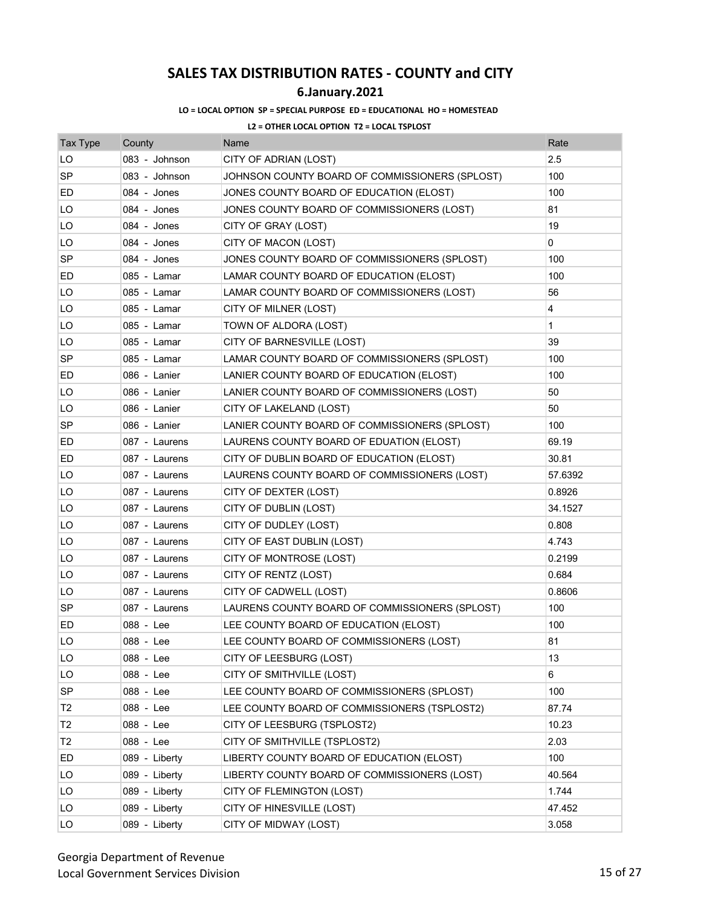## **6.January.2021**

#### **LO = LOCAL OPTION SP = SPECIAL PURPOSE ED = EDUCATIONAL HO = HOMESTEAD**

| <b>Tax Type</b> | County        | Name                                           | Rate    |
|-----------------|---------------|------------------------------------------------|---------|
| LO              | 083 - Johnson | CITY OF ADRIAN (LOST)                          | 2.5     |
| <b>SP</b>       | 083 - Johnson | JOHNSON COUNTY BOARD OF COMMISSIONERS (SPLOST) | 100     |
| ED              | 084 - Jones   | JONES COUNTY BOARD OF EDUCATION (ELOST)        | 100     |
| LO              | 084 - Jones   | JONES COUNTY BOARD OF COMMISSIONERS (LOST)     | 81      |
| LO              | 084 - Jones   | CITY OF GRAY (LOST)                            | 19      |
| LO              | 084 - Jones   | CITY OF MACON (LOST)                           | 0       |
| <b>SP</b>       | 084 - Jones   | JONES COUNTY BOARD OF COMMISSIONERS (SPLOST)   | 100     |
| ED              | 085 - Lamar   | LAMAR COUNTY BOARD OF EDUCATION (ELOST)        | 100     |
| LO              | 085 - Lamar   | LAMAR COUNTY BOARD OF COMMISSIONERS (LOST)     | 56      |
| LO              | 085 - Lamar   | CITY OF MILNER (LOST)                          | 4       |
| LO              | 085 - Lamar   | TOWN OF ALDORA (LOST)                          | 1       |
| LO              | 085 - Lamar   | CITY OF BARNESVILLE (LOST)                     | 39      |
| <b>SP</b>       | 085 - Lamar   | LAMAR COUNTY BOARD OF COMMISSIONERS (SPLOST)   | 100     |
| ED              | 086 - Lanier  | LANIER COUNTY BOARD OF EDUCATION (ELOST)       | 100     |
| LO              | 086 - Lanier  | LANIER COUNTY BOARD OF COMMISSIONERS (LOST)    | 50      |
| LO              | 086 - Lanier  | CITY OF LAKELAND (LOST)                        | 50      |
| <b>SP</b>       | 086 - Lanier  | LANIER COUNTY BOARD OF COMMISSIONERS (SPLOST)  | 100     |
| ED              | 087 - Laurens | LAURENS COUNTY BOARD OF EDUATION (ELOST)       | 69.19   |
| ED              | 087 - Laurens | CITY OF DUBLIN BOARD OF EDUCATION (ELOST)      | 30.81   |
| LO              | 087 - Laurens | LAURENS COUNTY BOARD OF COMMISSIONERS (LOST)   | 57.6392 |
| LO              | 087 - Laurens | CITY OF DEXTER (LOST)                          | 0.8926  |
| LO              | 087 - Laurens | CITY OF DUBLIN (LOST)                          | 34.1527 |
| LO              | 087 - Laurens | CITY OF DUDLEY (LOST)                          | 0.808   |
| LO              | 087 - Laurens | CITY OF EAST DUBLIN (LOST)                     | 4.743   |
| LO              | 087 - Laurens | CITY OF MONTROSE (LOST)                        | 0.2199  |
| LO              | 087 - Laurens | CITY OF RENTZ (LOST)                           | 0.684   |
| LO              | 087 - Laurens | CITY OF CADWELL (LOST)                         | 0.8606  |
| SP              | 087 - Laurens | LAURENS COUNTY BOARD OF COMMISSIONERS (SPLOST) | 100     |
| ED              | 088 - Lee     | LEE COUNTY BOARD OF EDUCATION (ELOST)          | 100     |
| LO              | 088 - Lee     | LEE COUNTY BOARD OF COMMISSIONERS (LOST)       | 81      |
| LO              | 088 - Lee     | CITY OF LEESBURG (LOST)                        | 13      |
| LO              | 088 - Lee     | CITY OF SMITHVILLE (LOST)                      | 6       |
| SP              | 088 - Lee     | LEE COUNTY BOARD OF COMMISSIONERS (SPLOST)     | 100     |
| T <sub>2</sub>  | 088 - Lee     | LEE COUNTY BOARD OF COMMISSIONERS (TSPLOST2)   | 87.74   |
| T <sub>2</sub>  | 088 - Lee     | CITY OF LEESBURG (TSPLOST2)                    | 10.23   |
| T <sub>2</sub>  | 088 - Lee     | CITY OF SMITHVILLE (TSPLOST2)                  | 2.03    |
| ED              | 089 - Liberty | LIBERTY COUNTY BOARD OF EDUCATION (ELOST)      | 100     |
| LO              | 089 - Liberty | LIBERTY COUNTY BOARD OF COMMISSIONERS (LOST)   | 40.564  |
| LO              | 089 - Liberty | CITY OF FLEMINGTON (LOST)                      | 1.744   |
| LO              | 089 - Liberty | CITY OF HINESVILLE (LOST)                      | 47.452  |
| LO              | 089 - Liberty | CITY OF MIDWAY (LOST)                          | 3.058   |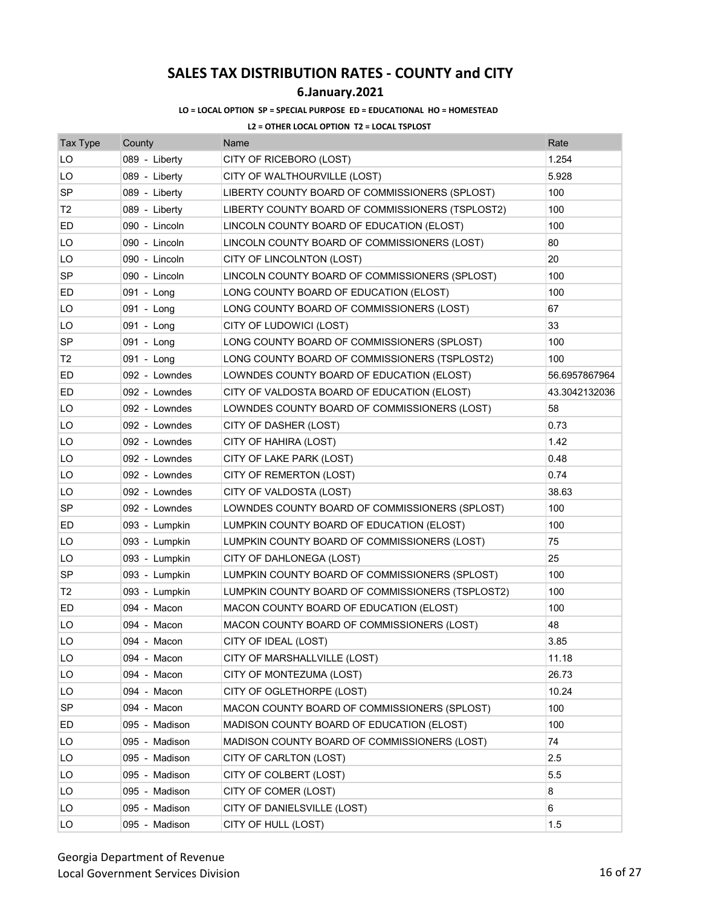## **6.January.2021**

### **LO = LOCAL OPTION SP = SPECIAL PURPOSE ED = EDUCATIONAL HO = HOMESTEAD**

| <b>Tax Type</b> | County        | Name                                             | Rate          |
|-----------------|---------------|--------------------------------------------------|---------------|
| LO              | 089 - Liberty | CITY OF RICEBORO (LOST)                          | 1.254         |
| LO              | 089 - Liberty | CITY OF WALTHOURVILLE (LOST)                     | 5.928         |
| SP              | 089 - Liberty | LIBERTY COUNTY BOARD OF COMMISSIONERS (SPLOST)   | 100           |
| Т2              | 089 - Liberty | LIBERTY COUNTY BOARD OF COMMISSIONERS (TSPLOST2) | 100           |
| ED              | 090 - Lincoln | LINCOLN COUNTY BOARD OF EDUCATION (ELOST)        | 100           |
| LO              | 090 - Lincoln | LINCOLN COUNTY BOARD OF COMMISSIONERS (LOST)     | 80            |
| LO              | 090 - Lincoln | CITY OF LINCOLNTON (LOST)                        | 20            |
| <b>SP</b>       | 090 - Lincoln | LINCOLN COUNTY BOARD OF COMMISSIONERS (SPLOST)   | 100           |
| ED              | 091 - Long    | LONG COUNTY BOARD OF EDUCATION (ELOST)           | 100           |
| LO              | 091 - Long    | LONG COUNTY BOARD OF COMMISSIONERS (LOST)        | 67            |
| LO              | 091 - Long    | CITY OF LUDOWICI (LOST)                          | 33            |
| SP              | 091 - Long    | LONG COUNTY BOARD OF COMMISSIONERS (SPLOST)      | 100           |
| T <sub>2</sub>  | 091 - Long    | LONG COUNTY BOARD OF COMMISSIONERS (TSPLOST2)    | 100           |
| ED              | 092 - Lowndes | LOWNDES COUNTY BOARD OF EDUCATION (ELOST)        | 56.6957867964 |
| ED              | 092 - Lowndes | CITY OF VALDOSTA BOARD OF EDUCATION (ELOST)      | 43.3042132036 |
| LO              | 092 - Lowndes | LOWNDES COUNTY BOARD OF COMMISSIONERS (LOST)     | 58            |
| LO              | 092 - Lowndes | CITY OF DASHER (LOST)                            | 0.73          |
| LO              | 092 - Lowndes | CITY OF HAHIRA (LOST)                            | 1.42          |
| LO              | 092 - Lowndes | CITY OF LAKE PARK (LOST)                         | 0.48          |
| LO              | 092 - Lowndes | CITY OF REMERTON (LOST)                          | 0.74          |
| LO              | 092 - Lowndes | CITY OF VALDOSTA (LOST)                          | 38.63         |
| SP              | 092 - Lowndes | LOWNDES COUNTY BOARD OF COMMISSIONERS (SPLOST)   | 100           |
| ED              | 093 - Lumpkin | LUMPKIN COUNTY BOARD OF EDUCATION (ELOST)        | 100           |
| LO              | 093 - Lumpkin | LUMPKIN COUNTY BOARD OF COMMISSIONERS (LOST)     | 75            |
| LO              | 093 - Lumpkin | CITY OF DAHLONEGA (LOST)                         | 25            |
| SP              | 093 - Lumpkin | LUMPKIN COUNTY BOARD OF COMMISSIONERS (SPLOST)   | 100           |
| T2              | 093 - Lumpkin | LUMPKIN COUNTY BOARD OF COMMISSIONERS (TSPLOST2) | 100           |
| ED              | 094 - Macon   | MACON COUNTY BOARD OF EDUCATION (ELOST)          | 100           |
| LO              | 094 - Macon   | MACON COUNTY BOARD OF COMMISSIONERS (LOST)       | 48            |
| LO              | 094 - Macon   | CITY OF IDEAL (LOST)                             | 3.85          |
| LO              | 094 - Macon   | CITY OF MARSHALLVILLE (LOST)                     | 11.18         |
| LO              | 094 - Macon   | CITY OF MONTEZUMA (LOST)                         | 26.73         |
| LO              | 094 - Macon   | CITY OF OGLETHORPE (LOST)                        | 10.24         |
| SP              | 094 - Macon   | MACON COUNTY BOARD OF COMMISSIONERS (SPLOST)     | 100           |
| ED              | 095 - Madison | MADISON COUNTY BOARD OF EDUCATION (ELOST)        | 100           |
| LO              | 095 - Madison | MADISON COUNTY BOARD OF COMMISSIONERS (LOST)     | 74            |
| LO              | 095 - Madison | CITY OF CARLTON (LOST)                           | 2.5           |
| LO              | 095 - Madison | CITY OF COLBERT (LOST)                           | 5.5           |
| LO              | 095 - Madison | CITY OF COMER (LOST)                             | 8             |
| LO              | 095 - Madison | CITY OF DANIELSVILLE (LOST)                      | 6             |
| LO              | 095 - Madison | CITY OF HULL (LOST)                              | 1.5           |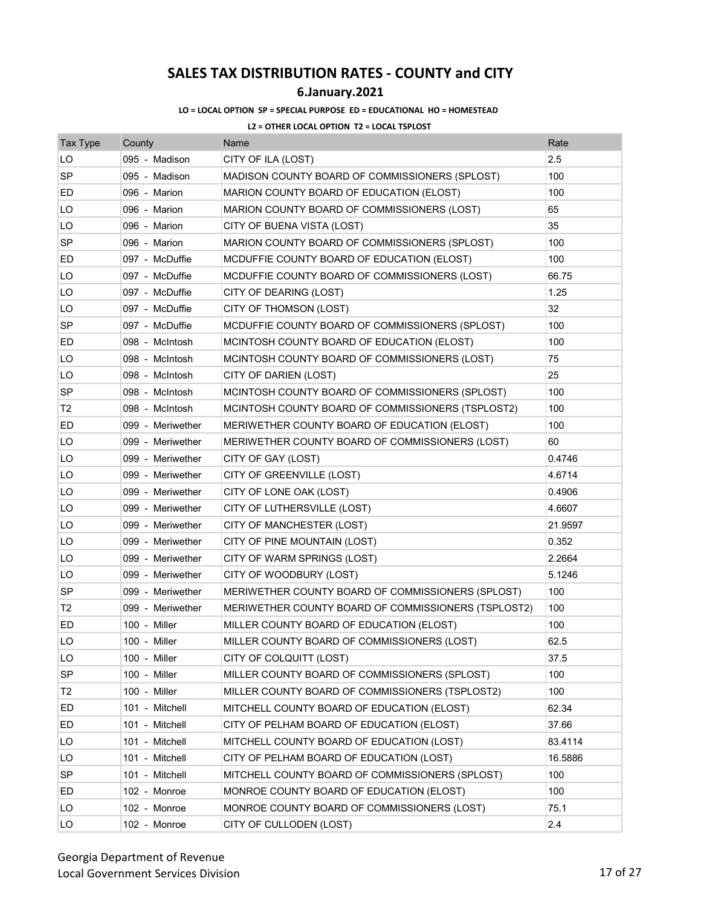## **6.January.2021**

### **LO = LOCAL OPTION SP = SPECIAL PURPOSE ED = EDUCATIONAL HO = HOMESTEAD**

| <b>Tax Type</b> | County           | Name                                                | Rate    |
|-----------------|------------------|-----------------------------------------------------|---------|
| LO              | 095 - Madison    | CITY OF ILA (LOST)                                  | 2.5     |
| <b>SP</b>       | 095 - Madison    | MADISON COUNTY BOARD OF COMMISSIONERS (SPLOST)      | 100     |
| ED              | 096 - Marion     | MARION COUNTY BOARD OF EDUCATION (ELOST)            | 100     |
| LO              | 096 - Marion     | MARION COUNTY BOARD OF COMMISSIONERS (LOST)         | 65      |
| LO              | 096 - Marion     | CITY OF BUENA VISTA (LOST)                          | 35      |
| <b>SP</b>       | 096 - Marion     | MARION COUNTY BOARD OF COMMISSIONERS (SPLOST)       | 100     |
| ED              | 097 - McDuffie   | MCDUFFIE COUNTY BOARD OF EDUCATION (ELOST)          | 100     |
| LO              | 097 - McDuffie   | MCDUFFIE COUNTY BOARD OF COMMISSIONERS (LOST)       | 66.75   |
| LO              | 097 - McDuffie   | CITY OF DEARING (LOST)                              | 1.25    |
| LO              | 097 - McDuffie   | CITY OF THOMSON (LOST)                              | 32      |
| <b>SP</b>       | 097 - McDuffie   | MCDUFFIE COUNTY BOARD OF COMMISSIONERS (SPLOST)     | 100     |
| ED              | 098 - McIntosh   | MCINTOSH COUNTY BOARD OF EDUCATION (ELOST)          | 100     |
| LO              | 098 - McIntosh   | MCINTOSH COUNTY BOARD OF COMMISSIONERS (LOST)       | 75      |
| LO              | 098 - McIntosh   | CITY OF DARIEN (LOST)                               | 25      |
| <b>SP</b>       | 098 - McIntosh   | MCINTOSH COUNTY BOARD OF COMMISSIONERS (SPLOST)     | 100     |
| T <sub>2</sub>  | 098 - McIntosh   | MCINTOSH COUNTY BOARD OF COMMISSIONERS (TSPLOST2)   | 100     |
| ED              | 099 - Meriwether | MERIWETHER COUNTY BOARD OF EDUCATION (ELOST)        | 100     |
| LO              | 099 - Meriwether | MERIWETHER COUNTY BOARD OF COMMISSIONERS (LOST)     | 60      |
| LO              | 099 - Meriwether | CITY OF GAY (LOST)                                  | 0.4746  |
| LO              | 099 - Meriwether | CITY OF GREENVILLE (LOST)                           | 4.6714  |
| LO              | 099 - Meriwether | CITY OF LONE OAK (LOST)                             | 0.4906  |
| LO              | 099 - Meriwether | CITY OF LUTHERSVILLE (LOST)                         | 4.6607  |
| LO              | 099 - Meriwether | CITY OF MANCHESTER (LOST)                           | 21.9597 |
| LO              | 099 - Meriwether | CITY OF PINE MOUNTAIN (LOST)                        | 0.352   |
| LO              | 099 - Meriwether | CITY OF WARM SPRINGS (LOST)                         | 2.2664  |
| LO              | 099 - Meriwether | CITY OF WOODBURY (LOST)                             | 5.1246  |
| <b>SP</b>       | 099 - Meriwether | MERIWETHER COUNTY BOARD OF COMMISSIONERS (SPLOST)   | 100     |
| T <sub>2</sub>  | 099 - Meriwether | MERIWETHER COUNTY BOARD OF COMMISSIONERS (TSPLOST2) | 100     |
| ED              | 100 - Miller     | MILLER COUNTY BOARD OF EDUCATION (ELOST)            | 100     |
| LO              | 100 - Miller     | MILLER COUNTY BOARD OF COMMISSIONERS (LOST)         | 62.5    |
| LO              | 100 - Miller     | CITY OF COLQUITT (LOST)                             | 37.5    |
| <b>SP</b>       | 100 - Miller     | MILLER COUNTY BOARD OF COMMISSIONERS (SPLOST)       | 100     |
| T <sub>2</sub>  | 100 - Miller     | MILLER COUNTY BOARD OF COMMISSIONERS (TSPLOST2)     | 100     |
| ED              | 101 - Mitchell   | MITCHELL COUNTY BOARD OF EDUCATION (ELOST)          | 62.34   |
| ED              | 101 - Mitchell   | CITY OF PELHAM BOARD OF EDUCATION (ELOST)           | 37.66   |
| LO              | 101 - Mitchell   | MITCHELL COUNTY BOARD OF EDUCATION (LOST)           | 83.4114 |
| LO              | 101 - Mitchell   | CITY OF PELHAM BOARD OF EDUCATION (LOST)            | 16.5886 |
| <b>SP</b>       | 101 - Mitchell   | MITCHELL COUNTY BOARD OF COMMISSIONERS (SPLOST)     | 100     |
| ED              | 102 - Monroe     | MONROE COUNTY BOARD OF EDUCATION (ELOST)            | 100     |
| LO              | 102 - Monroe     | MONROE COUNTY BOARD OF COMMISSIONERS (LOST)         | 75.1    |
| LO              | 102 - Monroe     | CITY OF CULLODEN (LOST)                             | 2.4     |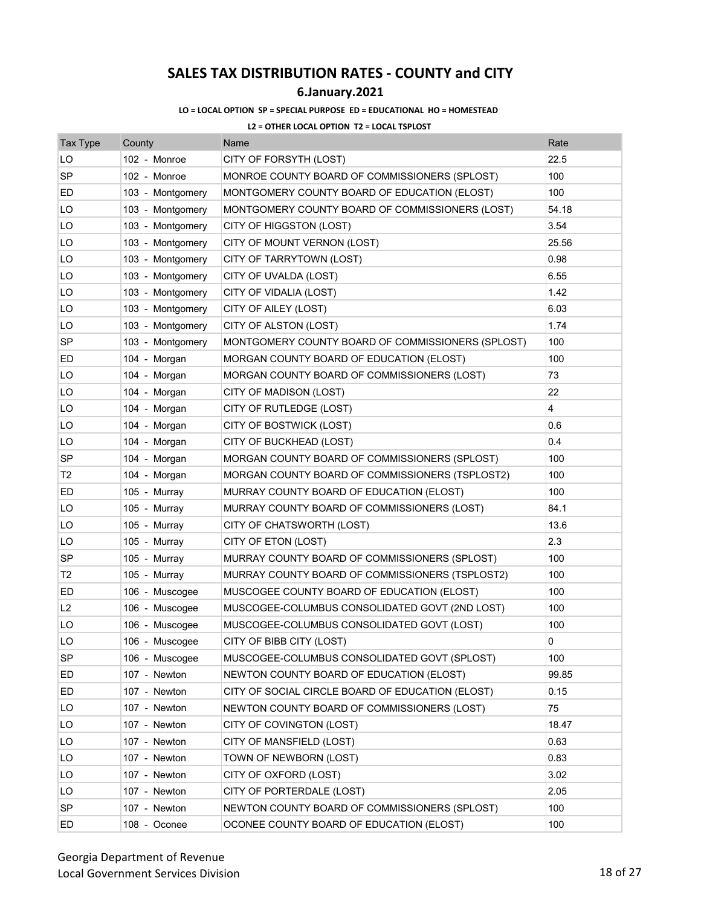## **6.January.2021**

### **LO = LOCAL OPTION SP = SPECIAL PURPOSE ED = EDUCATIONAL HO = HOMESTEAD**

| <b>Tax Type</b> | County           | Name                                              | Rate           |
|-----------------|------------------|---------------------------------------------------|----------------|
| LO              | 102 - Monroe     | CITY OF FORSYTH (LOST)                            | 22.5           |
| <b>SP</b>       | 102 - Monroe     | MONROE COUNTY BOARD OF COMMISSIONERS (SPLOST)     | 100            |
| ED              | 103 - Montgomery | MONTGOMERY COUNTY BOARD OF EDUCATION (ELOST)      | 100            |
| LO              | 103 - Montgomery | MONTGOMERY COUNTY BOARD OF COMMISSIONERS (LOST)   | 54.18          |
| LO              | 103 - Montgomery | CITY OF HIGGSTON (LOST)                           | 3.54           |
| LO              | 103 - Montgomery | CITY OF MOUNT VERNON (LOST)                       | 25.56          |
| LO              | 103 - Montgomery | CITY OF TARRYTOWN (LOST)                          | 0.98           |
| LO              | 103 - Montgomery | CITY OF UVALDA (LOST)                             | 6.55           |
| LO              | 103 - Montgomery | CITY OF VIDALIA (LOST)                            | 1.42           |
| LO              | 103 - Montgomery | CITY OF AILEY (LOST)                              | 6.03           |
| LO              | 103 - Montgomery | CITY OF ALSTON (LOST)                             | 1.74           |
| SP              | 103 - Montgomery | MONTGOMERY COUNTY BOARD OF COMMISSIONERS (SPLOST) | 100            |
| ED              | 104 - Morgan     | MORGAN COUNTY BOARD OF EDUCATION (ELOST)          | 100            |
| LO              | 104 - Morgan     | MORGAN COUNTY BOARD OF COMMISSIONERS (LOST)       | 73             |
| LO              | 104 - Morgan     | CITY OF MADISON (LOST)                            | 22             |
| LO              | 104 - Morgan     | CITY OF RUTLEDGE (LOST)                           | $\overline{4}$ |
| LO              | 104 - Morgan     | CITY OF BOSTWICK (LOST)                           | 0.6            |
| LO              | 104 - Morgan     | CITY OF BUCKHEAD (LOST)                           | 0.4            |
| SP              | 104 - Morgan     | MORGAN COUNTY BOARD OF COMMISSIONERS (SPLOST)     | 100            |
| T2              | 104 - Morgan     | MORGAN COUNTY BOARD OF COMMISSIONERS (TSPLOST2)   | 100            |
| ED              | 105 - Murray     | MURRAY COUNTY BOARD OF EDUCATION (ELOST)          | 100            |
| LO              | 105 - Murray     | MURRAY COUNTY BOARD OF COMMISSIONERS (LOST)       | 84.1           |
| LO              | 105 - Murray     | CITY OF CHATSWORTH (LOST)                         | 13.6           |
| LO              | 105 - Murray     | CITY OF ETON (LOST)                               | 2.3            |
| SP              | 105 - Murray     | MURRAY COUNTY BOARD OF COMMISSIONERS (SPLOST)     | 100            |
| T2              | 105 - Murray     | MURRAY COUNTY BOARD OF COMMISSIONERS (TSPLOST2)   | 100            |
| ED              | 106 - Muscogee   | MUSCOGEE COUNTY BOARD OF EDUCATION (ELOST)        | 100            |
| L <sub>2</sub>  | 106 - Muscogee   | MUSCOGEE-COLUMBUS CONSOLIDATED GOVT (2ND LOST)    | 100            |
| LO              | 106 - Muscogee   | MUSCOGEE-COLUMBUS CONSOLIDATED GOVT (LOST)        | 100            |
| LO              | 106 - Muscogee   | CITY OF BIBB CITY (LOST)                          | 0              |
| SP              | 106 - Muscogee   | MUSCOGEE-COLUMBUS CONSOLIDATED GOVT (SPLOST)      | 100            |
| ED              | 107 - Newton     | NEWTON COUNTY BOARD OF EDUCATION (ELOST)          | 99.85          |
| ED              | 107 - Newton     | CITY OF SOCIAL CIRCLE BOARD OF EDUCATION (ELOST)  | 0.15           |
| LO              | 107 - Newton     | NEWTON COUNTY BOARD OF COMMISSIONERS (LOST)       | 75             |
| LO              | 107 - Newton     | CITY OF COVINGTON (LOST)                          | 18.47          |
| LO              | 107 - Newton     | CITY OF MANSFIELD (LOST)                          | 0.63           |
| LO              | 107 - Newton     | TOWN OF NEWBORN (LOST)                            | 0.83           |
| LO              | 107 - Newton     | CITY OF OXFORD (LOST)                             | 3.02           |
| LO              | 107 - Newton     | CITY OF PORTERDALE (LOST)                         | 2.05           |
| <b>SP</b>       | 107 - Newton     | NEWTON COUNTY BOARD OF COMMISSIONERS (SPLOST)     | 100            |
| ED              | 108 - Oconee     | OCONEE COUNTY BOARD OF EDUCATION (ELOST)          | 100            |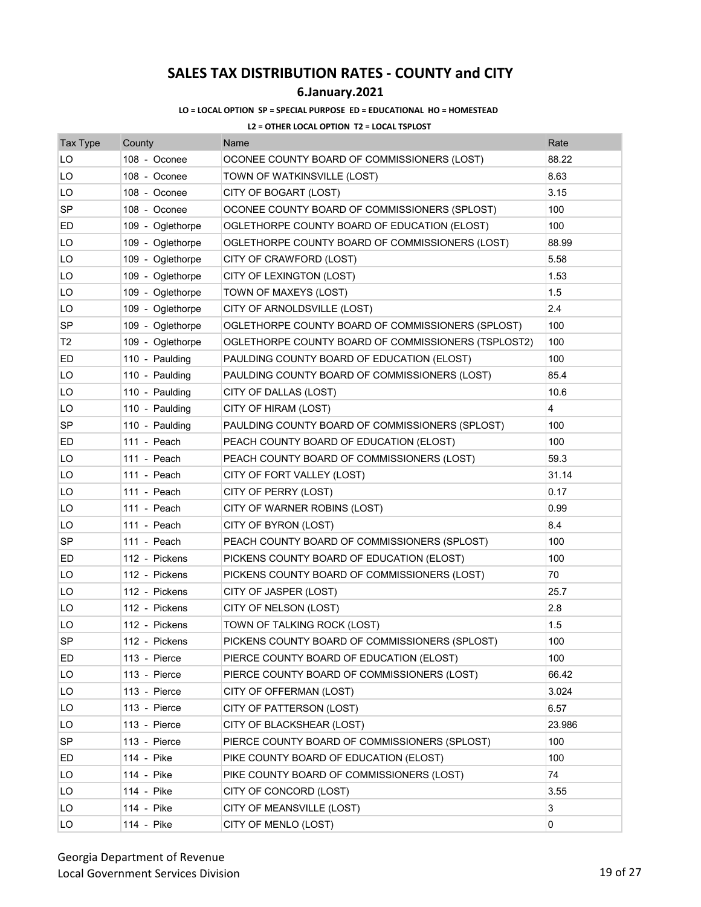## **6.January.2021**

### **LO = LOCAL OPTION SP = SPECIAL PURPOSE ED = EDUCATIONAL HO = HOMESTEAD**

| <b>Tax Type</b> | County           | Name                                                | Rate           |
|-----------------|------------------|-----------------------------------------------------|----------------|
| LO              | 108 - Oconee     | OCONEE COUNTY BOARD OF COMMISSIONERS (LOST)         | 88.22          |
| LO              | 108 - Oconee     | TOWN OF WATKINSVILLE (LOST)                         | 8.63           |
| LO              | 108 - Oconee     | CITY OF BOGART (LOST)                               | 3.15           |
| <b>SP</b>       | 108 - Oconee     | OCONEE COUNTY BOARD OF COMMISSIONERS (SPLOST)       | 100            |
| ED              | 109 - Oglethorpe | OGLETHORPE COUNTY BOARD OF EDUCATION (ELOST)        | 100            |
| LO              | 109 - Oglethorpe | OGLETHORPE COUNTY BOARD OF COMMISSIONERS (LOST)     | 88.99          |
| LO              | 109 - Oglethorpe | CITY OF CRAWFORD (LOST)                             | 5.58           |
| LO              | 109 - Oglethorpe | CITY OF LEXINGTON (LOST)                            | 1.53           |
| LO              | 109 - Oglethorpe | TOWN OF MAXEYS (LOST)                               | 1.5            |
| LO              | 109 - Oglethorpe | CITY OF ARNOLDSVILLE (LOST)                         | 2.4            |
| SP              | 109 - Oglethorpe | OGLETHORPE COUNTY BOARD OF COMMISSIONERS (SPLOST)   | 100            |
| T <sub>2</sub>  | 109 - Oglethorpe | OGLETHORPE COUNTY BOARD OF COMMISSIONERS (TSPLOST2) | 100            |
| ED              | 110 - Paulding   | PAULDING COUNTY BOARD OF EDUCATION (ELOST)          | 100            |
| LO              | 110 - Paulding   | PAULDING COUNTY BOARD OF COMMISSIONERS (LOST)       | 85.4           |
| LO              | 110 - Paulding   | CITY OF DALLAS (LOST)                               | 10.6           |
| LO              | 110 - Paulding   | CITY OF HIRAM (LOST)                                | $\overline{4}$ |
| SP              | 110 - Paulding   | PAULDING COUNTY BOARD OF COMMISSIONERS (SPLOST)     | 100            |
| ED              | 111 - Peach      | PEACH COUNTY BOARD OF EDUCATION (ELOST)             | 100            |
| LO              | 111 - Peach      | PEACH COUNTY BOARD OF COMMISSIONERS (LOST)          | 59.3           |
| LO              | 111 - Peach      | CITY OF FORT VALLEY (LOST)                          | 31.14          |
| LO              | 111 - Peach      | CITY OF PERRY (LOST)                                | 0.17           |
| LO              | 111 - Peach      | CITY OF WARNER ROBINS (LOST)                        | 0.99           |
| LO              | 111 - Peach      | CITY OF BYRON (LOST)                                | 8.4            |
| <b>SP</b>       | 111 - Peach      | PEACH COUNTY BOARD OF COMMISSIONERS (SPLOST)        | 100            |
| ED              | 112 - Pickens    | PICKENS COUNTY BOARD OF EDUCATION (ELOST)           | 100            |
| LO              | 112 - Pickens    | PICKENS COUNTY BOARD OF COMMISSIONERS (LOST)        | 70             |
| LO              | 112 - Pickens    | CITY OF JASPER (LOST)                               | 25.7           |
| LO              | 112 - Pickens    | CITY OF NELSON (LOST)                               | 2.8            |
| LO              | 112 - Pickens    | TOWN OF TALKING ROCK (LOST)                         | 1.5            |
| SP              | 112 - Pickens    | PICKENS COUNTY BOARD OF COMMISSIONERS (SPLOST)      | 100            |
| ED              | 113 - Pierce     | PIERCE COUNTY BOARD OF EDUCATION (ELOST)            | 100            |
| LO              | 113 - Pierce     | PIERCE COUNTY BOARD OF COMMISSIONERS (LOST)         | 66.42          |
| LO              | 113 - Pierce     | CITY OF OFFERMAN (LOST)                             | 3.024          |
| LO              | 113 - Pierce     | CITY OF PATTERSON (LOST)                            | 6.57           |
| LO              | 113 - Pierce     | CITY OF BLACKSHEAR (LOST)                           | 23.986         |
| <b>SP</b>       | 113 - Pierce     | PIERCE COUNTY BOARD OF COMMISSIONERS (SPLOST)       | 100            |
| ED              | 114 - Pike       | PIKE COUNTY BOARD OF EDUCATION (ELOST)              | 100            |
| LO              | 114 - Pike       | PIKE COUNTY BOARD OF COMMISSIONERS (LOST)           | 74             |
| LO              | 114 - Pike       | CITY OF CONCORD (LOST)                              | 3.55           |
| LO              | 114 - Pike       | CITY OF MEANSVILLE (LOST)                           | 3              |
| LO              | 114 - Pike       | CITY OF MENLO (LOST)                                | 0              |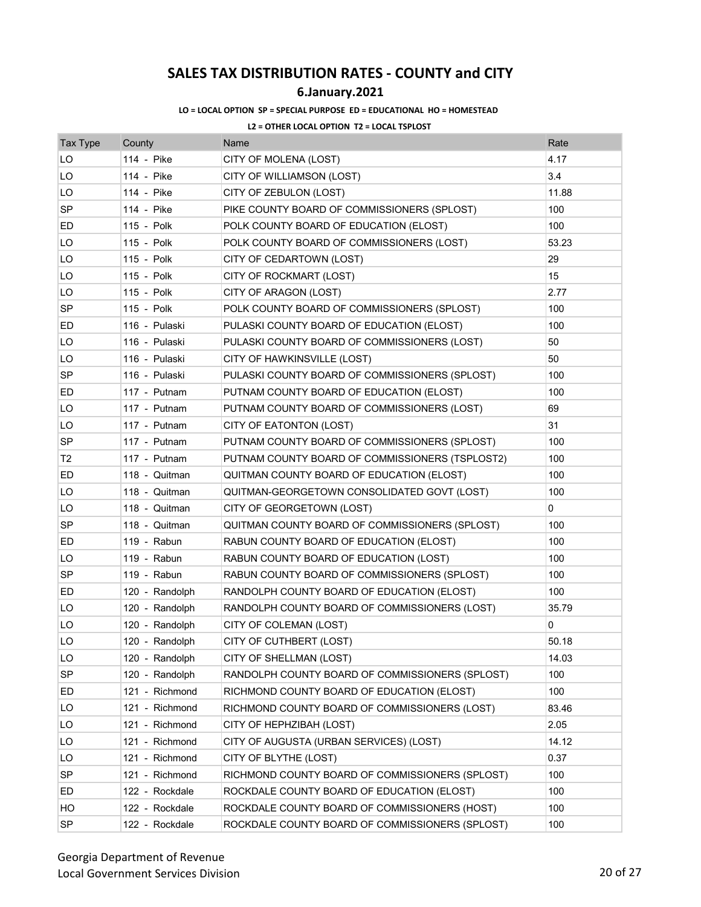## **6.January.2021**

### **LO = LOCAL OPTION SP = SPECIAL PURPOSE ED = EDUCATIONAL HO = HOMESTEAD**

| <b>Tax Type</b> | County         | Name                                            | Rate  |
|-----------------|----------------|-------------------------------------------------|-------|
| LO              | 114 - Pike     | CITY OF MOLENA (LOST)                           | 4.17  |
| LO              | 114 - Pike     | CITY OF WILLIAMSON (LOST)                       | 3.4   |
| LO              | 114 - Pike     | CITY OF ZEBULON (LOST)                          | 11.88 |
| SP              | 114 - Pike     | PIKE COUNTY BOARD OF COMMISSIONERS (SPLOST)     | 100   |
| ED              | 115 - Polk     | POLK COUNTY BOARD OF EDUCATION (ELOST)          | 100   |
| LO              | 115 - Polk     | POLK COUNTY BOARD OF COMMISSIONERS (LOST)       | 53.23 |
| LO              | 115 - Polk     | CITY OF CEDARTOWN (LOST)                        | 29    |
| LO              | 115 - Polk     | CITY OF ROCKMART (LOST)                         | 15    |
| LO              | 115 - Polk     | CITY OF ARAGON (LOST)                           | 2.77  |
| SP              | 115 - Polk     | POLK COUNTY BOARD OF COMMISSIONERS (SPLOST)     | 100   |
| ED              | 116 - Pulaski  | PULASKI COUNTY BOARD OF EDUCATION (ELOST)       | 100   |
| LO              | 116 - Pulaski  | PULASKI COUNTY BOARD OF COMMISSIONERS (LOST)    | 50    |
| LO              | 116 - Pulaski  | CITY OF HAWKINSVILLE (LOST)                     | 50    |
| SP              | 116 - Pulaski  | PULASKI COUNTY BOARD OF COMMISSIONERS (SPLOST)  | 100   |
| ED              | 117 - Putnam   | PUTNAM COUNTY BOARD OF EDUCATION (ELOST)        | 100   |
| LO              | 117 - Putnam   | PUTNAM COUNTY BOARD OF COMMISSIONERS (LOST)     | 69    |
| LO              | 117 - Putnam   | CITY OF EATONTON (LOST)                         | 31    |
| <b>SP</b>       | 117 - Putnam   | PUTNAM COUNTY BOARD OF COMMISSIONERS (SPLOST)   | 100   |
| T <sub>2</sub>  | 117 - Putnam   | PUTNAM COUNTY BOARD OF COMMISSIONERS (TSPLOST2) | 100   |
| ED              | 118 - Quitman  | QUITMAN COUNTY BOARD OF EDUCATION (ELOST)       | 100   |
| LO              | 118 - Quitman  | QUITMAN-GEORGETOWN CONSOLIDATED GOVT (LOST)     | 100   |
| LO              | 118 - Quitman  | CITY OF GEORGETOWN (LOST)                       | 0     |
| <b>SP</b>       | 118 - Quitman  | QUITMAN COUNTY BOARD OF COMMISSIONERS (SPLOST)  | 100   |
| ED              | 119 - Rabun    | RABUN COUNTY BOARD OF EDUCATION (ELOST)         | 100   |
| LO              | 119 - Rabun    | RABUN COUNTY BOARD OF EDUCATION (LOST)          | 100   |
| <b>SP</b>       | 119 - Rabun    | RABUN COUNTY BOARD OF COMMISSIONERS (SPLOST)    | 100   |
| ED              | 120 - Randolph | RANDOLPH COUNTY BOARD OF EDUCATION (ELOST)      | 100   |
| LO              | 120 - Randolph | RANDOLPH COUNTY BOARD OF COMMISSIONERS (LOST)   | 35.79 |
| LO              | 120 - Randolph | CITY OF COLEMAN (LOST)                          | 0     |
| LO              | 120 - Randolph | CITY OF CUTHBERT (LOST)                         | 50.18 |
| LO              | 120 - Randolph | CITY OF SHELLMAN (LOST)                         | 14.03 |
| <b>SP</b>       | 120 - Randolph | RANDOLPH COUNTY BOARD OF COMMISSIONERS (SPLOST) | 100   |
| ED              | 121 - Richmond | RICHMOND COUNTY BOARD OF EDUCATION (ELOST)      | 100   |
| LO              | 121 - Richmond | RICHMOND COUNTY BOARD OF COMMISSIONERS (LOST)   | 83.46 |
| LO              | 121 - Richmond | CITY OF HEPHZIBAH (LOST)                        | 2.05  |
| LO              | 121 - Richmond | CITY OF AUGUSTA (URBAN SERVICES) (LOST)         | 14.12 |
| LO              | 121 - Richmond | CITY OF BLYTHE (LOST)                           | 0.37  |
| SP              | 121 - Richmond | RICHMOND COUNTY BOARD OF COMMISSIONERS (SPLOST) | 100   |
| ED              | 122 - Rockdale | ROCKDALE COUNTY BOARD OF EDUCATION (ELOST)      | 100   |
| HO              | 122 - Rockdale | ROCKDALE COUNTY BOARD OF COMMISSIONERS (HOST)   | 100   |
| SP              | 122 - Rockdale | ROCKDALE COUNTY BOARD OF COMMISSIONERS (SPLOST) | 100   |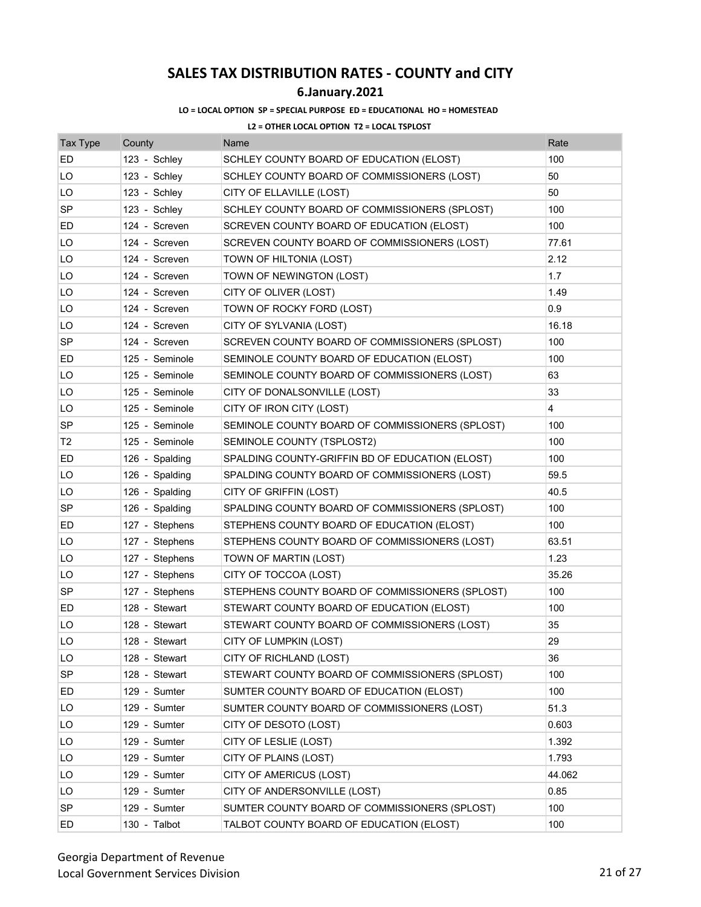## **6.January.2021**

#### **LO = LOCAL OPTION SP = SPECIAL PURPOSE ED = EDUCATIONAL HO = HOMESTEAD**

| <b>Tax Type</b> | County         | Name                                            | Rate   |
|-----------------|----------------|-------------------------------------------------|--------|
| ED              | 123 - Schley   | SCHLEY COUNTY BOARD OF EDUCATION (ELOST)        | 100    |
| LO              | 123 - Schley   | SCHLEY COUNTY BOARD OF COMMISSIONERS (LOST)     | 50     |
| LO              | 123 - Schley   | CITY OF ELLAVILLE (LOST)                        | 50     |
| SP              | 123 - Schley   | SCHLEY COUNTY BOARD OF COMMISSIONERS (SPLOST)   | 100    |
| ED              | 124 - Screven  | SCREVEN COUNTY BOARD OF EDUCATION (ELOST)       | 100    |
| LO              | 124 - Screven  | SCREVEN COUNTY BOARD OF COMMISSIONERS (LOST)    | 77.61  |
| LO              | 124 - Screven  | TOWN OF HILTONIA (LOST)                         | 2.12   |
| LO              | 124 - Screven  | TOWN OF NEWINGTON (LOST)                        | 1.7    |
| LO              | 124 - Screven  | CITY OF OLIVER (LOST)                           | 1.49   |
| LO              | 124 - Screven  | TOWN OF ROCKY FORD (LOST)                       | 0.9    |
| LO              | 124 - Screven  | CITY OF SYLVANIA (LOST)                         | 16.18  |
| SP              | 124 - Screven  | SCREVEN COUNTY BOARD OF COMMISSIONERS (SPLOST)  | 100    |
| ED              | 125 - Seminole | SEMINOLE COUNTY BOARD OF EDUCATION (ELOST)      | 100    |
| LO              | 125 - Seminole | SEMINOLE COUNTY BOARD OF COMMISSIONERS (LOST)   | 63     |
| LO              | 125 - Seminole | CITY OF DONALSONVILLE (LOST)                    | 33     |
| LO              | 125 - Seminole | CITY OF IRON CITY (LOST)                        | 4      |
| <b>SP</b>       | 125 - Seminole | SEMINOLE COUNTY BOARD OF COMMISSIONERS (SPLOST) | 100    |
| T2              | 125 - Seminole | SEMINOLE COUNTY (TSPLOST2)                      | 100    |
| ED              | 126 - Spalding | SPALDING COUNTY-GRIFFIN BD OF EDUCATION (ELOST) | 100    |
| LO              | 126 - Spalding | SPALDING COUNTY BOARD OF COMMISSIONERS (LOST)   | 59.5   |
| LO              | 126 - Spalding | CITY OF GRIFFIN (LOST)                          | 40.5   |
| <b>SP</b>       | 126 - Spalding | SPALDING COUNTY BOARD OF COMMISSIONERS (SPLOST) | 100    |
| ED              | 127 - Stephens | STEPHENS COUNTY BOARD OF EDUCATION (ELOST)      | 100    |
| LO              | 127 - Stephens | STEPHENS COUNTY BOARD OF COMMISSIONERS (LOST)   | 63.51  |
| LO              | 127 - Stephens | TOWN OF MARTIN (LOST)                           | 1.23   |
| LO              | 127 - Stephens | CITY OF TOCCOA (LOST)                           | 35.26  |
| SP              | 127 - Stephens | STEPHENS COUNTY BOARD OF COMMISSIONERS (SPLOST) | 100    |
| ED              | 128 - Stewart  | STEWART COUNTY BOARD OF EDUCATION (ELOST)       | 100    |
| LO              | 128 - Stewart  | STEWART COUNTY BOARD OF COMMISSIONERS (LOST)    | 35     |
| LO              | 128 - Stewart  | CITY OF LUMPKIN (LOST)                          | 29     |
| LO              | 128 - Stewart  | CITY OF RICHLAND (LOST)                         | 36     |
| <b>SP</b>       | 128 - Stewart  | STEWART COUNTY BOARD OF COMMISSIONERS (SPLOST)  | 100    |
| ED              | 129 - Sumter   | SUMTER COUNTY BOARD OF EDUCATION (ELOST)        | 100    |
| LO              | 129 - Sumter   | SUMTER COUNTY BOARD OF COMMISSIONERS (LOST)     | 51.3   |
| LO              | 129 - Sumter   | CITY OF DESOTO (LOST)                           | 0.603  |
| LO              | 129 - Sumter   | CITY OF LESLIE (LOST)                           | 1.392  |
| LO              | 129 - Sumter   | CITY OF PLAINS (LOST)                           | 1.793  |
| LO              | 129 - Sumter   | CITY OF AMERICUS (LOST)                         | 44.062 |
| LO              | 129 - Sumter   | CITY OF ANDERSONVILLE (LOST)                    | 0.85   |
| <b>SP</b>       | 129 - Sumter   | SUMTER COUNTY BOARD OF COMMISSIONERS (SPLOST)   | 100    |
| ED              | 130 - Talbot   | TALBOT COUNTY BOARD OF EDUCATION (ELOST)        | 100    |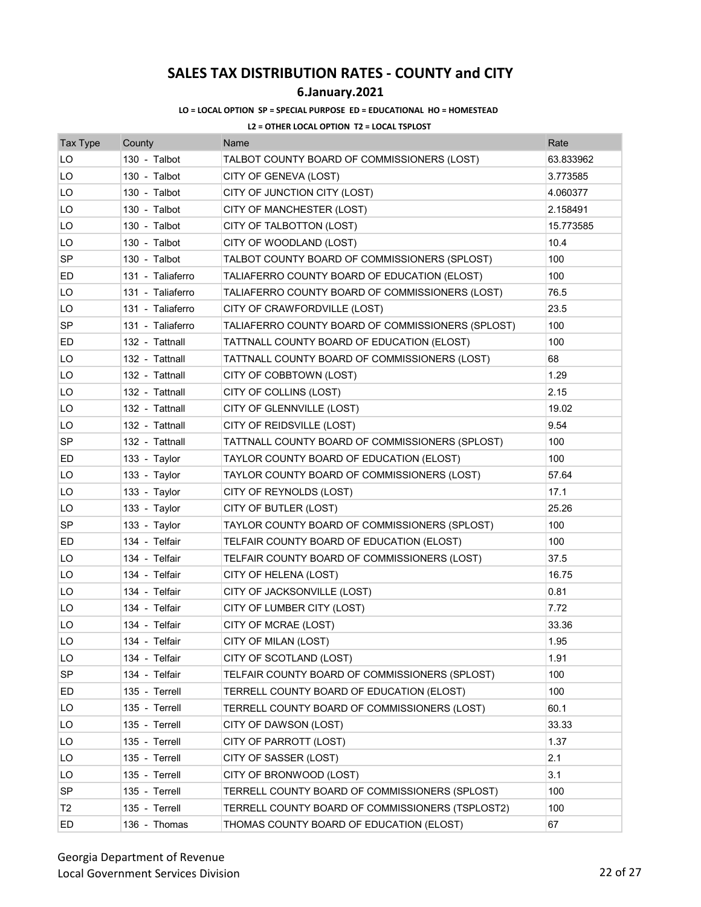### **6.January.2021**

#### **LO = LOCAL OPTION SP = SPECIAL PURPOSE ED = EDUCATIONAL HO = HOMESTEAD**

| <b>Tax Type</b> | County           | Name                                              | Rate      |
|-----------------|------------------|---------------------------------------------------|-----------|
| LO              | 130 - Talbot     | TALBOT COUNTY BOARD OF COMMISSIONERS (LOST)       | 63.833962 |
| LO              | 130 - Talbot     | CITY OF GENEVA (LOST)                             | 3.773585  |
| LO              | 130 - Talbot     | CITY OF JUNCTION CITY (LOST)                      | 4.060377  |
| LO              | 130 - Talbot     | CITY OF MANCHESTER (LOST)                         | 2.158491  |
| LO              | 130 - Talbot     | CITY OF TALBOTTON (LOST)                          | 15.773585 |
| LO              | 130 - Talbot     | CITY OF WOODLAND (LOST)                           | 10.4      |
| SP              | 130 - Talbot     | TALBOT COUNTY BOARD OF COMMISSIONERS (SPLOST)     | 100       |
| ED              | 131 - Taliaferro | TALIAFERRO COUNTY BOARD OF EDUCATION (ELOST)      | 100       |
| LO              | 131 - Taliaferro | TALIAFERRO COUNTY BOARD OF COMMISSIONERS (LOST)   | 76.5      |
| LO              | 131 - Taliaferro | CITY OF CRAWFORDVILLE (LOST)                      | 23.5      |
| <b>SP</b>       | 131 - Taliaferro | TALIAFERRO COUNTY BOARD OF COMMISSIONERS (SPLOST) | 100       |
| ED              | 132 - Tattnall   | TATTNALL COUNTY BOARD OF EDUCATION (ELOST)        | 100       |
| LO              | 132 - Tattnall   | TATTNALL COUNTY BOARD OF COMMISSIONERS (LOST)     | 68        |
| LO              | 132 - Tattnall   | CITY OF COBBTOWN (LOST)                           | 1.29      |
| LO              | 132 - Tattnall   | CITY OF COLLINS (LOST)                            | 2.15      |
| LO              | 132 - Tattnall   | CITY OF GLENNVILLE (LOST)                         | 19.02     |
| LO              | 132 - Tattnall   | CITY OF REIDSVILLE (LOST)                         | 9.54      |
| SP              | 132 - Tattnall   | TATTNALL COUNTY BOARD OF COMMISSIONERS (SPLOST)   | 100       |
| ED              | 133 - Taylor     | TAYLOR COUNTY BOARD OF EDUCATION (ELOST)          | 100       |
| LO              | 133 - Taylor     | TAYLOR COUNTY BOARD OF COMMISSIONERS (LOST)       | 57.64     |
| LO              | 133 - Taylor     | CITY OF REYNOLDS (LOST)                           | 17.1      |
| LO              | 133 - Taylor     | CITY OF BUTLER (LOST)                             | 25.26     |
| SP              | 133 - Taylor     | TAYLOR COUNTY BOARD OF COMMISSIONERS (SPLOST)     | 100       |
| ED              | 134 - Telfair    | TELFAIR COUNTY BOARD OF EDUCATION (ELOST)         | 100       |
| LO              | 134 - Telfair    | TELFAIR COUNTY BOARD OF COMMISSIONERS (LOST)      | 37.5      |
| LO              | 134 - Telfair    | CITY OF HELENA (LOST)                             | 16.75     |
| LO              | 134 - Telfair    | CITY OF JACKSONVILLE (LOST)                       | 0.81      |
| LO              | 134 - Telfair    | CITY OF LUMBER CITY (LOST)                        | 7.72      |
| LO              | 134 - Telfair    | CITY OF MCRAE (LOST)                              | 33.36     |
| LO              | 134 - Telfair    | CITY OF MILAN (LOST)                              | 1.95      |
| LO              | 134 - Telfair    | CITY OF SCOTLAND (LOST)                           | 1.91      |
| SP              | 134 - Telfair    | TELFAIR COUNTY BOARD OF COMMISSIONERS (SPLOST)    | 100       |
| ED              | 135 - Terrell    | TERRELL COUNTY BOARD OF EDUCATION (ELOST)         | 100       |
| LO              | 135 - Terrell    | TERRELL COUNTY BOARD OF COMMISSIONERS (LOST)      | 60.1      |
| LO              | 135 - Terrell    | CITY OF DAWSON (LOST)                             | 33.33     |
| LO              | 135 - Terrell    | CITY OF PARROTT (LOST)                            | 1.37      |
| LO              | 135 - Terrell    | CITY OF SASSER (LOST)                             | 2.1       |
| LO              | 135 - Terrell    | CITY OF BRONWOOD (LOST)                           | 3.1       |
| SP              | 135 - Terrell    | TERRELL COUNTY BOARD OF COMMISSIONERS (SPLOST)    | 100       |
| T <sub>2</sub>  | 135 - Terrell    | TERRELL COUNTY BOARD OF COMMISSIONERS (TSPLOST2)  | 100       |
| ED              | 136 - Thomas     | THOMAS COUNTY BOARD OF EDUCATION (ELOST)          | 67        |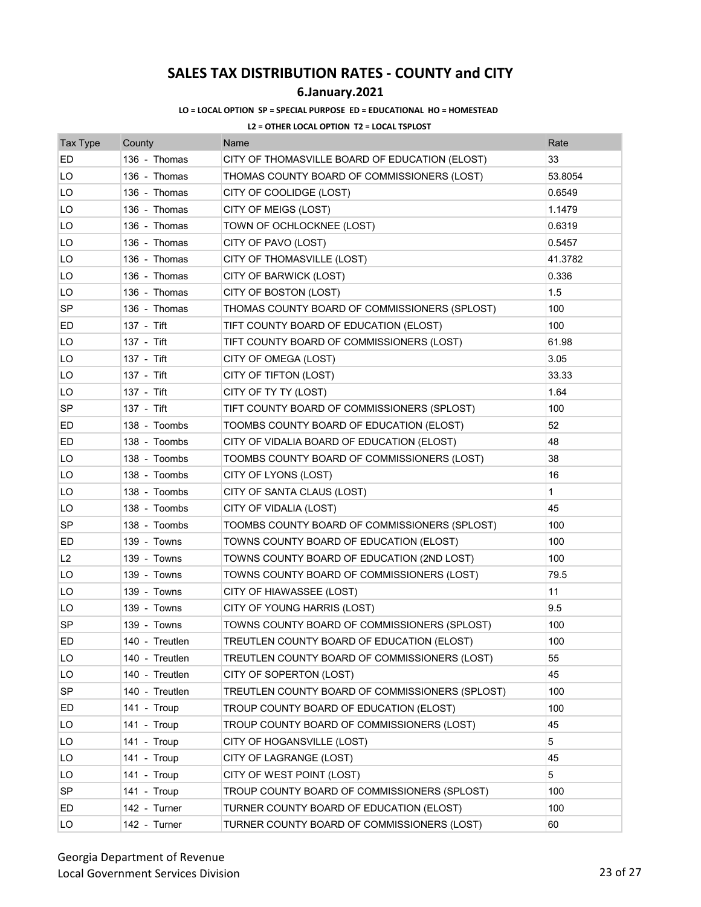## **6.January.2021**

### **LO = LOCAL OPTION SP = SPECIAL PURPOSE ED = EDUCATIONAL HO = HOMESTEAD**

| <b>Tax Type</b> | County         | Name                                            | Rate         |
|-----------------|----------------|-------------------------------------------------|--------------|
| ED              | 136 - Thomas   | CITY OF THOMASVILLE BOARD OF EDUCATION (ELOST)  | 33           |
| LO              | 136 - Thomas   | THOMAS COUNTY BOARD OF COMMISSIONERS (LOST)     | 53.8054      |
| LO              | 136 - Thomas   | CITY OF COOLIDGE (LOST)                         | 0.6549       |
| LO              | 136 - Thomas   | CITY OF MEIGS (LOST)                            | 1.1479       |
| LO              | 136 - Thomas   | TOWN OF OCHLOCKNEE (LOST)                       | 0.6319       |
| LO              | 136 - Thomas   | CITY OF PAVO (LOST)                             | 0.5457       |
| LO              | 136 - Thomas   | CITY OF THOMASVILLE (LOST)                      | 41.3782      |
| LO              | 136 - Thomas   | CITY OF BARWICK (LOST)                          | 0.336        |
| LO              | 136 - Thomas   | CITY OF BOSTON (LOST)                           | 1.5          |
| <b>SP</b>       | 136 - Thomas   | THOMAS COUNTY BOARD OF COMMISSIONERS (SPLOST)   | 100          |
| ED              | 137 - Tift     | TIFT COUNTY BOARD OF EDUCATION (ELOST)          | 100          |
| LO              | 137 - Tift     | TIFT COUNTY BOARD OF COMMISSIONERS (LOST)       | 61.98        |
| LO              | 137 - Tift     | CITY OF OMEGA (LOST)                            | 3.05         |
| LO              | 137 - Tift     | CITY OF TIFTON (LOST)                           | 33.33        |
| LO              | 137 - Tift     | CITY OF TY TY (LOST)                            | 1.64         |
| SP              | 137 - Tift     | TIFT COUNTY BOARD OF COMMISSIONERS (SPLOST)     | 100          |
| ED              | 138 - Toombs   | TOOMBS COUNTY BOARD OF EDUCATION (ELOST)        | 52           |
| ED              | 138 - Toombs   | CITY OF VIDALIA BOARD OF EDUCATION (ELOST)      | 48           |
| LO              | 138 - Toombs   | TOOMBS COUNTY BOARD OF COMMISSIONERS (LOST)     | 38           |
| LO              | 138 - Toombs   | CITY OF LYONS (LOST)                            | 16           |
| LO              | 138 - Toombs   | CITY OF SANTA CLAUS (LOST)                      | $\mathbf{1}$ |
| LO              | 138 - Toombs   | CITY OF VIDALIA (LOST)                          | 45           |
| <b>SP</b>       | 138 - Toombs   | TOOMBS COUNTY BOARD OF COMMISSIONERS (SPLOST)   | 100          |
| ED              | 139 - Towns    | TOWNS COUNTY BOARD OF EDUCATION (ELOST)         | 100          |
| L2              | 139 - Towns    | TOWNS COUNTY BOARD OF EDUCATION (2ND LOST)      | 100          |
| LO              | 139 - Towns    | TOWNS COUNTY BOARD OF COMMISSIONERS (LOST)      | 79.5         |
| LO              | 139 - Towns    | CITY OF HIAWASSEE (LOST)                        | 11           |
| LO              | 139 - Towns    | CITY OF YOUNG HARRIS (LOST)                     | 9.5          |
| SP              | 139 - Towns    | TOWNS COUNTY BOARD OF COMMISSIONERS (SPLOST)    | 100          |
| ED              | 140 - Treutlen | TREUTLEN COUNTY BOARD OF EDUCATION (ELOST)      | 100          |
| LO              | 140 - Treutlen | TREUTLEN COUNTY BOARD OF COMMISSIONERS (LOST)   | 55           |
| LO              | 140 - Treutlen | CITY OF SOPERTON (LOST)                         | 45           |
| <b>SP</b>       | 140 - Treutlen | TREUTLEN COUNTY BOARD OF COMMISSIONERS (SPLOST) | 100          |
| ED              | 141 - Troup    | TROUP COUNTY BOARD OF EDUCATION (ELOST)         | 100          |
| LO              | 141 - Troup    | TROUP COUNTY BOARD OF COMMISSIONERS (LOST)      | 45           |
| LO              | 141 - Troup    | CITY OF HOGANSVILLE (LOST)                      | 5            |
| LO              | 141 - Troup    | CITY OF LAGRANGE (LOST)                         | 45           |
| LO              | 141 - Troup    | CITY OF WEST POINT (LOST)                       | 5            |
| <b>SP</b>       | 141 - Troup    | TROUP COUNTY BOARD OF COMMISSIONERS (SPLOST)    | 100          |
| ED              | 142 - Turner   | TURNER COUNTY BOARD OF EDUCATION (ELOST)        | 100          |
| LO              | 142 - Turner   | TURNER COUNTY BOARD OF COMMISSIONERS (LOST)     | 60           |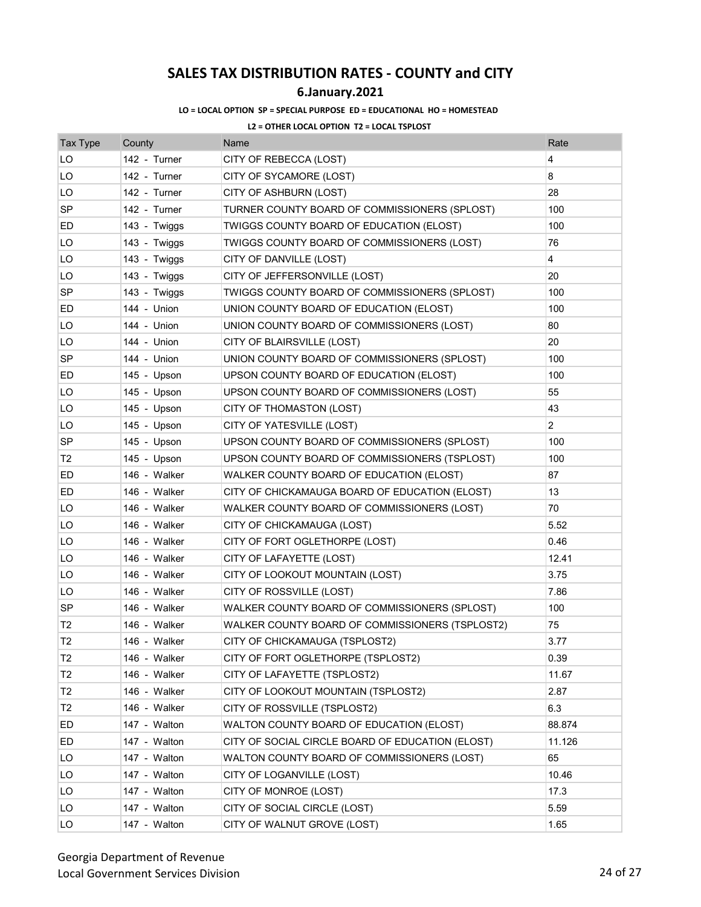## **6.January.2021**

### **LO = LOCAL OPTION SP = SPECIAL PURPOSE ED = EDUCATIONAL HO = HOMESTEAD**

| <b>Tax Type</b> | County       | Name                                             | Rate           |
|-----------------|--------------|--------------------------------------------------|----------------|
| LO              | 142 - Turner | CITY OF REBECCA (LOST)                           | 4              |
| LO              | 142 - Turner | CITY OF SYCAMORE (LOST)                          | 8              |
| LO              | 142 - Turner | CITY OF ASHBURN (LOST)                           | 28             |
| SP              | 142 - Turner | TURNER COUNTY BOARD OF COMMISSIONERS (SPLOST)    | 100            |
| ED              | 143 - Twiggs | TWIGGS COUNTY BOARD OF EDUCATION (ELOST)         | 100            |
| LO              | 143 - Twiggs | TWIGGS COUNTY BOARD OF COMMISSIONERS (LOST)      | 76             |
| LO              | 143 - Twiggs | CITY OF DANVILLE (LOST)                          | 4              |
| LO              | 143 - Twiggs | CITY OF JEFFERSONVILLE (LOST)                    | 20             |
| SP              | 143 - Twiggs | TWIGGS COUNTY BOARD OF COMMISSIONERS (SPLOST)    | 100            |
| ED              | 144 - Union  | UNION COUNTY BOARD OF EDUCATION (ELOST)          | 100            |
| LO              | 144 - Union  | UNION COUNTY BOARD OF COMMISSIONERS (LOST)       | 80             |
| LO              | 144 - Union  | CITY OF BLAIRSVILLE (LOST)                       | 20             |
| <b>SP</b>       | 144 - Union  | UNION COUNTY BOARD OF COMMISSIONERS (SPLOST)     | 100            |
| ED              | 145 - Upson  | UPSON COUNTY BOARD OF EDUCATION (ELOST)          | 100            |
| LO              | 145 - Upson  | UPSON COUNTY BOARD OF COMMISSIONERS (LOST)       | 55             |
| LO              | 145 - Upson  | CITY OF THOMASTON (LOST)                         | 43             |
| LO              | 145 - Upson  | CITY OF YATESVILLE (LOST)                        | $\overline{2}$ |
| SP              | 145 - Upson  | UPSON COUNTY BOARD OF COMMISSIONERS (SPLOST)     | 100            |
| T2              | 145 - Upson  | UPSON COUNTY BOARD OF COMMISSIONERS (TSPLOST)    | 100            |
| ED              | 146 - Walker | WALKER COUNTY BOARD OF EDUCATION (ELOST)         | 87             |
| ED              | 146 - Walker | CITY OF CHICKAMAUGA BOARD OF EDUCATION (ELOST)   | 13             |
| LO              | 146 - Walker | WALKER COUNTY BOARD OF COMMISSIONERS (LOST)      | 70             |
| LO              | 146 - Walker | CITY OF CHICKAMAUGA (LOST)                       | 5.52           |
| LO              | 146 - Walker | CITY OF FORT OGLETHORPE (LOST)                   | 0.46           |
| LO              | 146 - Walker | CITY OF LAFAYETTE (LOST)                         | 12.41          |
| LO              | 146 - Walker | CITY OF LOOKOUT MOUNTAIN (LOST)                  | 3.75           |
| LO              | 146 - Walker | CITY OF ROSSVILLE (LOST)                         | 7.86           |
| <b>SP</b>       | 146 - Walker | WALKER COUNTY BOARD OF COMMISSIONERS (SPLOST)    | 100            |
| T <sub>2</sub>  | 146 - Walker | WALKER COUNTY BOARD OF COMMISSIONERS (TSPLOST2)  | 75             |
| T <sub>2</sub>  | 146 - Walker | CITY OF CHICKAMAUGA (TSPLOST2)                   | 3.77           |
| T <sub>2</sub>  | 146 - Walker | CITY OF FORT OGLETHORPE (TSPLOST2)               | 0.39           |
| T <sub>2</sub>  | 146 - Walker | CITY OF LAFAYETTE (TSPLOST2)                     | 11.67          |
| T <sub>2</sub>  | 146 - Walker | CITY OF LOOKOUT MOUNTAIN (TSPLOST2)              | 2.87           |
| T <sub>2</sub>  | 146 - Walker | CITY OF ROSSVILLE (TSPLOST2)                     | 6.3            |
| ED              | 147 - Walton | WALTON COUNTY BOARD OF EDUCATION (ELOST)         | 88.874         |
| ED              | 147 - Walton | CITY OF SOCIAL CIRCLE BOARD OF EDUCATION (ELOST) | 11.126         |
| LO              | 147 - Walton | WALTON COUNTY BOARD OF COMMISSIONERS (LOST)      | 65             |
| LO              | 147 - Walton | CITY OF LOGANVILLE (LOST)                        | 10.46          |
| LO              | 147 - Walton | CITY OF MONROE (LOST)                            | 17.3           |
| LO              | 147 - Walton | CITY OF SOCIAL CIRCLE (LOST)                     | 5.59           |
| LO              | 147 - Walton | CITY OF WALNUT GROVE (LOST)                      | 1.65           |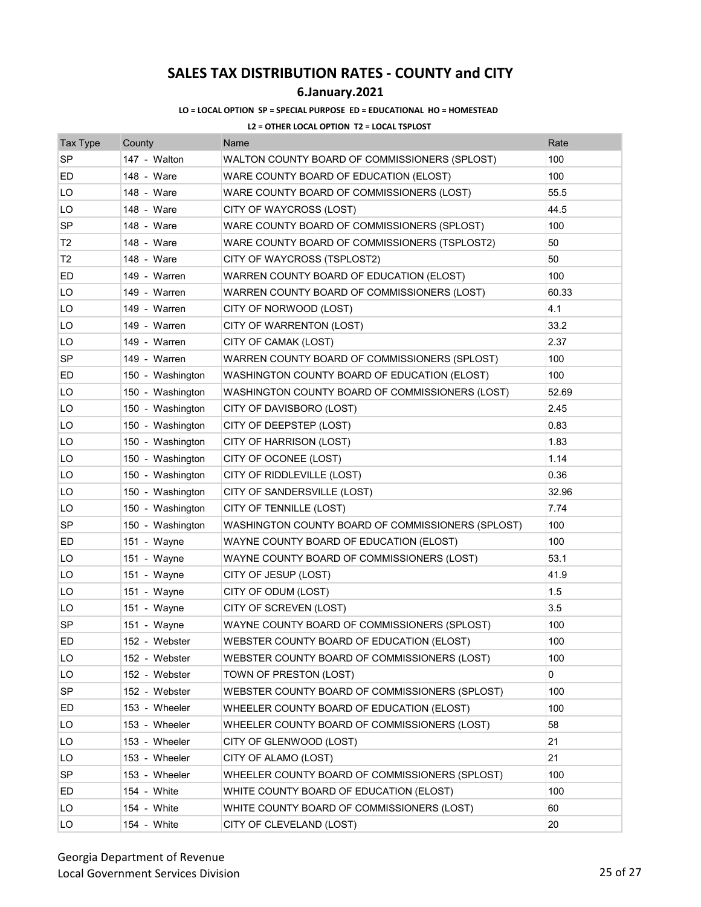## **6.January.2021**

### **LO = LOCAL OPTION SP = SPECIAL PURPOSE ED = EDUCATIONAL HO = HOMESTEAD**

| <b>Tax Type</b> | County           | Name                                              | Rate  |
|-----------------|------------------|---------------------------------------------------|-------|
| <b>SP</b>       | 147 - Walton     | WALTON COUNTY BOARD OF COMMISSIONERS (SPLOST)     | 100   |
| ED              | 148 - Ware       | WARE COUNTY BOARD OF EDUCATION (ELOST)            | 100   |
| LO              | 148 - Ware       | WARE COUNTY BOARD OF COMMISSIONERS (LOST)         | 55.5  |
| LO              | 148 - Ware       | CITY OF WAYCROSS (LOST)                           | 44.5  |
| SP              | 148 - Ware       | WARE COUNTY BOARD OF COMMISSIONERS (SPLOST)       | 100   |
| Т2              | 148 - Ware       | WARE COUNTY BOARD OF COMMISSIONERS (TSPLOST2)     | 50    |
| Т2              | 148 - Ware       | CITY OF WAYCROSS (TSPLOST2)                       | 50    |
| ED              | 149 - Warren     | WARREN COUNTY BOARD OF EDUCATION (ELOST)          | 100   |
| LO              | 149 - Warren     | WARREN COUNTY BOARD OF COMMISSIONERS (LOST)       | 60.33 |
| LO              | 149 - Warren     | CITY OF NORWOOD (LOST)                            | 4.1   |
| LO              | 149 - Warren     | CITY OF WARRENTON (LOST)                          | 33.2  |
| LO              | 149 - Warren     | CITY OF CAMAK (LOST)                              | 2.37  |
| <b>SP</b>       | 149 - Warren     | WARREN COUNTY BOARD OF COMMISSIONERS (SPLOST)     | 100   |
| ED              | 150 - Washington | WASHINGTON COUNTY BOARD OF EDUCATION (ELOST)      | 100   |
| LO              | 150 - Washington | WASHINGTON COUNTY BOARD OF COMMISSIONERS (LOST)   | 52.69 |
| LO              | 150 - Washington | CITY OF DAVISBORO (LOST)                          | 2.45  |
| LO              | 150 - Washington | CITY OF DEEPSTEP (LOST)                           | 0.83  |
| LO              | 150 - Washington | CITY OF HARRISON (LOST)                           | 1.83  |
| LO              | 150 - Washington | CITY OF OCONEE (LOST)                             | 1.14  |
| LO              | 150 - Washington | CITY OF RIDDLEVILLE (LOST)                        | 0.36  |
| LO              | 150 - Washington | CITY OF SANDERSVILLE (LOST)                       | 32.96 |
| LO              | 150 - Washington | CITY OF TENNILLE (LOST)                           | 7.74  |
|                 |                  |                                                   |       |
| SP              | 150 - Washington | WASHINGTON COUNTY BOARD OF COMMISSIONERS (SPLOST) | 100   |
| ED              | 151 - Wayne      | WAYNE COUNTY BOARD OF EDUCATION (ELOST)           | 100   |
| LO              | 151 - Wayne      | WAYNE COUNTY BOARD OF COMMISSIONERS (LOST)        | 53.1  |
| LO              | 151 - Wayne      | CITY OF JESUP (LOST)                              | 41.9  |
| LO              | 151 - Wayne      | CITY OF ODUM (LOST)                               | 1.5   |
| LO              | 151 - Wayne      | CITY OF SCREVEN (LOST)                            | 3.5   |
| <b>SP</b>       | 151 - Wayne      | WAYNE COUNTY BOARD OF COMMISSIONERS (SPLOST)      | 100   |
| ED              | 152 - Webster    | WEBSTER COUNTY BOARD OF EDUCATION (ELOST)         | 100   |
| LO              | 152 - Webster    | WEBSTER COUNTY BOARD OF COMMISSIONERS (LOST)      | 100   |
| LO              | 152 - Webster    | TOWN OF PRESTON (LOST)                            | 0     |
| <b>SP</b>       | 152 - Webster    | WEBSTER COUNTY BOARD OF COMMISSIONERS (SPLOST)    | 100   |
| ED              | 153 - Wheeler    | WHEELER COUNTY BOARD OF EDUCATION (ELOST)         | 100   |
| LO              | 153 - Wheeler    | WHEELER COUNTY BOARD OF COMMISSIONERS (LOST)      | 58    |
| LO              | 153 - Wheeler    | CITY OF GLENWOOD (LOST)                           | 21    |
| LO              | 153 - Wheeler    | CITY OF ALAMO (LOST)                              | 21    |
| <b>SP</b>       | 153 - Wheeler    | WHEELER COUNTY BOARD OF COMMISSIONERS (SPLOST)    | 100   |
| ED              | 154 - White      | WHITE COUNTY BOARD OF EDUCATION (ELOST)           | 100   |
| LO              | 154 - White      | WHITE COUNTY BOARD OF COMMISSIONERS (LOST)        | 60    |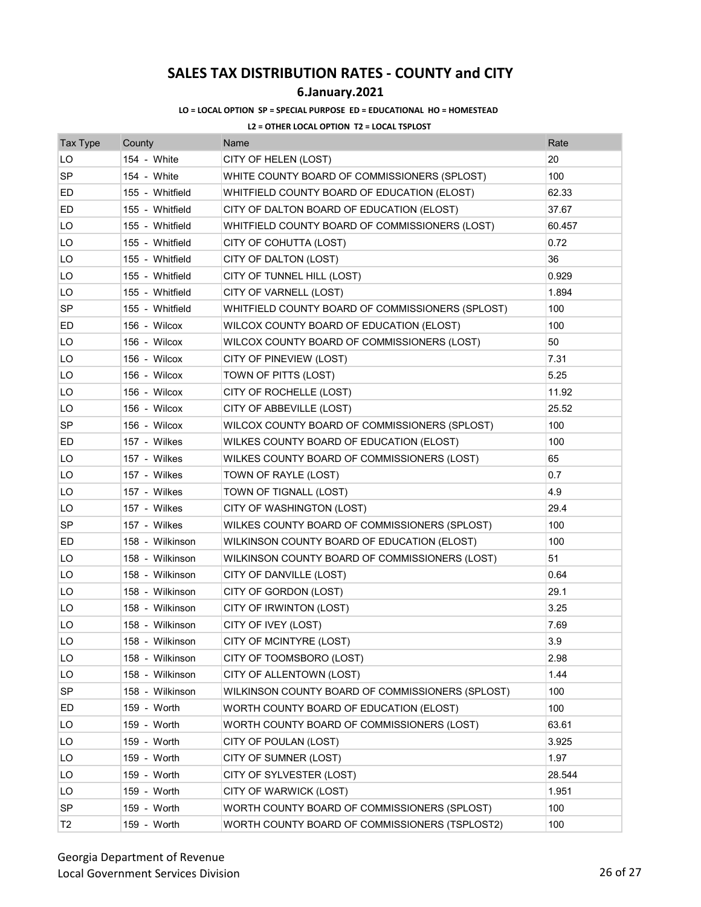### **6.January.2021**

#### **LO = LOCAL OPTION SP = SPECIAL PURPOSE ED = EDUCATIONAL HO = HOMESTEAD**

| <b>Tax Type</b> | County          | Name                                             | Rate   |
|-----------------|-----------------|--------------------------------------------------|--------|
| LO              | 154 - White     | CITY OF HELEN (LOST)                             | 20     |
| <b>SP</b>       | 154 - White     | WHITE COUNTY BOARD OF COMMISSIONERS (SPLOST)     | 100    |
| ED              | 155 - Whitfield | WHITFIELD COUNTY BOARD OF EDUCATION (ELOST)      | 62.33  |
| ED              | 155 - Whitfield | CITY OF DALTON BOARD OF EDUCATION (ELOST)        | 37.67  |
| LO              | 155 - Whitfield | WHITFIELD COUNTY BOARD OF COMMISSIONERS (LOST)   | 60.457 |
| LO              | 155 - Whitfield | CITY OF COHUTTA (LOST)                           | 0.72   |
| LO              | 155 - Whitfield | CITY OF DALTON (LOST)                            | 36     |
| LO              | 155 - Whitfield | CITY OF TUNNEL HILL (LOST)                       | 0.929  |
| LO              | 155 - Whitfield | CITY OF VARNELL (LOST)                           | 1.894  |
| SP              | 155 - Whitfield | WHITFIELD COUNTY BOARD OF COMMISSIONERS (SPLOST) | 100    |
| ED              | 156 - Wilcox    | WILCOX COUNTY BOARD OF EDUCATION (ELOST)         | 100    |
| LO              | 156 - Wilcox    | WILCOX COUNTY BOARD OF COMMISSIONERS (LOST)      | 50     |
| LO              | 156 - Wilcox    | CITY OF PINEVIEW (LOST)                          | 7.31   |
| LO              | 156 - Wilcox    | TOWN OF PITTS (LOST)                             | 5.25   |
| LO              | 156 - Wilcox    | CITY OF ROCHELLE (LOST)                          | 11.92  |
| LO              | 156 - Wilcox    | CITY OF ABBEVILLE (LOST)                         | 25.52  |
| <b>SP</b>       | 156 - Wilcox    | WILCOX COUNTY BOARD OF COMMISSIONERS (SPLOST)    | 100    |
| ED              | 157 - Wilkes    | WILKES COUNTY BOARD OF EDUCATION (ELOST)         | 100    |
| LO              | 157 - Wilkes    | WILKES COUNTY BOARD OF COMMISSIONERS (LOST)      | 65     |
| LO              | 157 - Wilkes    | TOWN OF RAYLE (LOST)                             | 0.7    |
| LO              | 157 - Wilkes    | TOWN OF TIGNALL (LOST)                           | 4.9    |
| LO              | 157 - Wilkes    | CITY OF WASHINGTON (LOST)                        | 29.4   |
| SP              | 157 - Wilkes    | WILKES COUNTY BOARD OF COMMISSIONERS (SPLOST)    | 100    |
| ED              | 158 - Wilkinson | WILKINSON COUNTY BOARD OF EDUCATION (ELOST)      | 100    |
| LO              | 158 - Wilkinson | WILKINSON COUNTY BOARD OF COMMISSIONERS (LOST)   | 51     |
| LO              | 158 - Wilkinson | CITY OF DANVILLE (LOST)                          | 0.64   |
| LO              | 158 - Wilkinson | CITY OF GORDON (LOST)                            | 29.1   |
| LO              | 158 - Wilkinson | CITY OF IRWINTON (LOST)                          | 3.25   |
| LO              | 158 - Wilkinson | CITY OF IVEY (LOST)                              | 7.69   |
| LO              | 158 - Wilkinson | CITY OF MCINTYRE (LOST)                          | 3.9    |
| LO              | 158 - Wilkinson | CITY OF TOOMSBORO (LOST)                         | 2.98   |
| LO              | 158 - Wilkinson | CITY OF ALLENTOWN (LOST)                         | 1.44   |
| <b>SP</b>       | 158 - Wilkinson | WILKINSON COUNTY BOARD OF COMMISSIONERS (SPLOST) | 100    |
| ED              | 159 - Worth     | WORTH COUNTY BOARD OF EDUCATION (ELOST)          | 100    |
| LO              | 159 - Worth     | WORTH COUNTY BOARD OF COMMISSIONERS (LOST)       | 63.61  |
| LO              | 159 - Worth     | CITY OF POULAN (LOST)                            | 3.925  |
| LO              | 159 - Worth     | CITY OF SUMNER (LOST)                            | 1.97   |
| LO              | 159 - Worth     | CITY OF SYLVESTER (LOST)                         | 28.544 |
| LO              | 159 - Worth     | CITY OF WARWICK (LOST)                           | 1.951  |
| <b>SP</b>       | 159 - Worth     | WORTH COUNTY BOARD OF COMMISSIONERS (SPLOST)     | 100    |
| T <sub>2</sub>  | 159 - Worth     | WORTH COUNTY BOARD OF COMMISSIONERS (TSPLOST2)   | 100    |